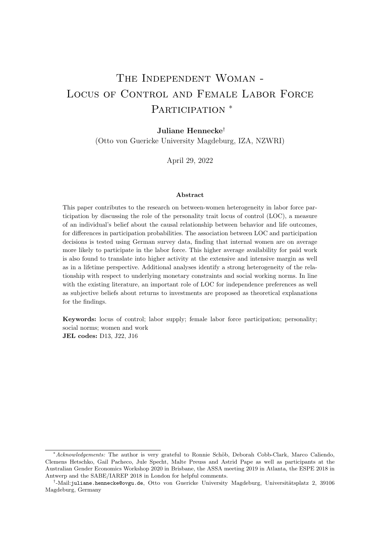# The Independent Woman - LOCUS OF CONTROL AND FEMALE LABOR FORCE PARTICIPATION<sup>\*</sup>

### Juliane Hennecke†

(Otto von Guericke University Magdeburg, IZA, NZWRI)

April 29, 2022

#### Abstract

This paper contributes to the research on between-women heterogeneity in labor force participation by discussing the role of the personality trait locus of control (LOC), a measure of an individual's belief about the causal relationship between behavior and life outcomes, for differences in participation probabilities. The association between LOC and participation decisions is tested using German survey data, finding that internal women are on average more likely to participate in the labor force. This higher average availability for paid work is also found to translate into higher activity at the extensive and intensive margin as well as in a lifetime perspective. Additional analyses identify a strong heterogeneity of the relationship with respect to underlying monetary constraints and social working norms. In line with the existing literature, an important role of LOC for independence preferences as well as subjective beliefs about returns to investments are proposed as theoretical explanations for the findings.

Keywords: locus of control; labor supply; female labor force participation; personality; social norms; women and work JEL codes: D13, J22, J16

<sup>\*</sup>Acknowledgements: The author is very grateful to Ronnie Schöb, Deborah Cobb-Clark, Marco Caliendo, Clemens Hetschko, Gail Pacheco, Jule Specht, Malte Preuss and Astrid Pape as well as participants at the Australian Gender Economics Workshop 2020 in Brisbane, the ASSA meeting 2019 in Atlanta, the ESPE 2018 in Antwerp and the SABE/IAREP 2018 in London for helpful comments.

<sup>&</sup>lt;sup>†</sup>-Mail:juliane.hennecke@ovgu.de, Otto von Guericke University Magdeburg, Universitätsplatz 2, 39106 Magdeburg, Germany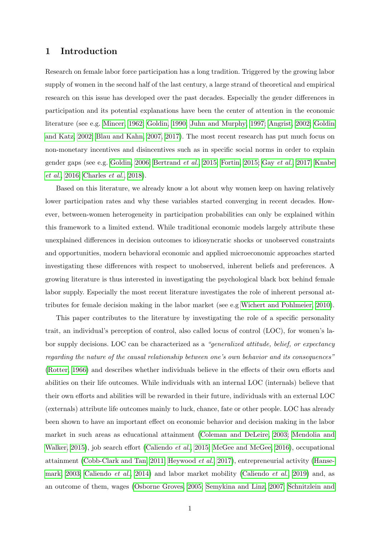### 1 Introduction

Research on female labor force participation has a long tradition. Triggered by the growing labor supply of women in the second half of the last century, a large strand of theoretical and empirical research on this issue has developed over the past decades. Especially the gender differences in participation and its potential explanations have been the center of attention in the economic literature (see e.g. [Mincer, 1962;](#page-29-0) [Goldin, 1990;](#page-28-0) [Juhn and Murphy, 1997;](#page-29-1) [Angrist, 2002;](#page-27-0) [Goldin](#page-28-1) [and Katz, 2002;](#page-28-1) [Blau and Kahn, 2007,](#page-27-1) [2017\)](#page-27-2). The most recent research has put much focus on non-monetary incentives and disincentives such as in specific social norms in order to explain gender gaps (see e.g. [Goldin, 2006;](#page-28-2) [Bertrand](#page-27-3) et al., [2015;](#page-27-3) [Fortin, 2015;](#page-28-3) Gay [et al.](#page-28-4), [2017;](#page-28-4) [Knabe](#page-29-2) [et al.](#page-29-2), [2016;](#page-29-2) [Charles](#page-27-4) et al., [2018\)](#page-27-4).

Based on this literature, we already know a lot about why women keep on having relatively lower participation rates and why these variables started converging in recent decades. However, between-women heterogeneity in participation probabilities can only be explained within this framework to a limited extend. While traditional economic models largely attribute these unexplained differences in decision outcomes to idiosyncratic shocks or unobserved constraints and opportunities, modern behavioral economic and applied microeconomic approaches started investigating these differences with respect to unobserved, inherent beliefs and preferences. A growing literature is thus interested in investigating the psychological black box behind female labor supply. Especially the most recent literature investigates the role of inherent personal attributes for female decision making in the labor market (see e.g [Wichert and Pohlmeier, 2010\)](#page-30-0).

This paper contributes to the literature by investigating the role of a specific personality trait, an individual's perception of control, also called locus of control (LOC), for women's labor supply decisions. LOC can be characterized as a "generalized attitude, belief, or expectancy regarding the nature of the causal relationship between one's own behavior and its consequences" [\(Rotter, 1966\)](#page-29-3) and describes whether individuals believe in the effects of their own efforts and abilities on their life outcomes. While individuals with an internal LOC (internals) believe that their own efforts and abilities will be rewarded in their future, individuals with an external LOC (externals) attribute life outcomes mainly to luck, chance, fate or other people. LOC has already been shown to have an important effect on economic behavior and decision making in the labor market in such areas as educational attainment [\(Coleman and DeLeire, 2003;](#page-28-5) [Mendolia and](#page-29-4) [Walker, 2015\)](#page-29-4), job search effort [\(Caliendo](#page-27-5) *et al.*, [2015;](#page-27-5) [McGee and McGee, 2016\)](#page-29-5), occupational attainment [\(Cobb-Clark and Tan, 2011;](#page-28-6) [Heywood](#page-28-7) et al., [2017\)](#page-28-7), entrepreneurial activity [\(Hanse](#page-28-8)[mark, 2003;](#page-28-8) [Caliendo](#page-27-6) *et al.*, [2014\)](#page-27-6) and labor market mobility [\(Caliendo](#page-27-7) *et al.*, [2019\)](#page-27-7) and, as an outcome of them, wages [\(Osborne Groves, 2005;](#page-29-6) [Semykina and Linz, 2007;](#page-30-1) [Schnitzlein and](#page-29-7)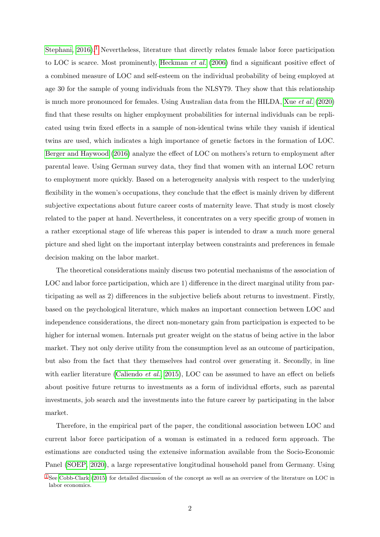<span id="page-2-1"></span>[Stephani, 2016\)](#page-29-7).<sup>[1](#page-2-0)</sup> Nevertheless, literature that directly relates female labor force participation to LOC is scarce. Most prominently, [Heckman](#page-28-9) et al. [\(2006\)](#page-28-9) find a significant positive effect of a combined measure of LOC and self-esteem on the individual probability of being employed at age 30 for the sample of young individuals from the NLSY79. They show that this relationship is much more pronounced for females. Using Australian data from the HILDA, Xue [et al.](#page-30-2) [\(2020\)](#page-30-2) find that these results on higher employment probabilities for internal individuals can be replicated using twin fixed effects in a sample of non-identical twins while they vanish if identical twins are used, which indicates a high importance of genetic factors in the formation of LOC. [Berger and Haywood](#page-27-8) [\(2016\)](#page-27-8) analyze the effect of LOC on mothers's return to employment after parental leave. Using German survey data, they find that women with an internal LOC return to employment more quickly. Based on a heterogeneity analysis with respect to the underlying flexibility in the women's occupations, they conclude that the effect is mainly driven by different subjective expectations about future career costs of maternity leave. That study is most closely related to the paper at hand. Nevertheless, it concentrates on a very specific group of women in a rather exceptional stage of life whereas this paper is intended to draw a much more general picture and shed light on the important interplay between constraints and preferences in female decision making on the labor market.

The theoretical considerations mainly discuss two potential mechanisms of the association of LOC and labor force participation, which are 1) difference in the direct marginal utility from participating as well as 2) differences in the subjective beliefs about returns to investment. Firstly, based on the psychological literature, which makes an important connection between LOC and independence considerations, the direct non-monetary gain from participation is expected to be higher for internal women. Internals put greater weight on the status of being active in the labor market. They not only derive utility from the consumption level as an outcome of participation, but also from the fact that they themselves had control over generating it. Secondly, in line with earlier literature [\(Caliendo](#page-27-5) *et al.*, [2015\)](#page-27-5), LOC can be assumed to have an effect on beliefs about positive future returns to investments as a form of individual efforts, such as parental investments, job search and the investments into the future career by participating in the labor market.

Therefore, in the empirical part of the paper, the conditional association between LOC and current labor force participation of a woman is estimated in a reduced form approach. The estimations are conducted using the extensive information available from the Socio-Economic Panel [\(SOEP, 2020\)](#page-30-3), a large representative longitudinal household panel from Germany. Using

<span id="page-2-0"></span><sup>&</sup>lt;sup>[1](#page-2-1)</sup> See [Cobb-Clark](#page-27-9) [\(2015\)](#page-27-9) for detailed discussion of the concept as well as an overview of the literature on LOC in labor economics.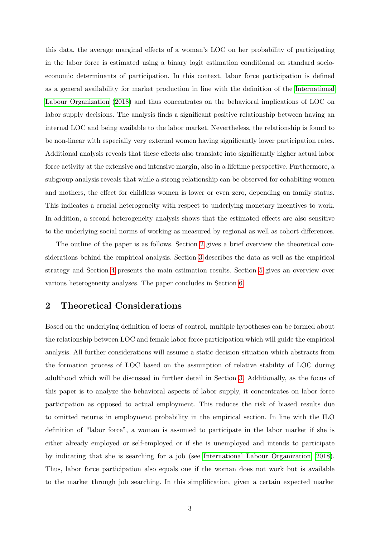this data, the average marginal effects of a woman's LOC on her probability of participating in the labor force is estimated using a binary logit estimation conditional on standard socioeconomic determinants of participation. In this context, labor force participation is defined as a general availability for market production in line with the definition of the [International](#page-29-8) [Labour Organization](#page-29-8) [\(2018\)](#page-29-8) and thus concentrates on the behavioral implications of LOC on labor supply decisions. The analysis finds a significant positive relationship between having an internal LOC and being available to the labor market. Nevertheless, the relationship is found to be non-linear with especially very external women having significantly lower participation rates. Additional analysis reveals that these effects also translate into significantly higher actual labor force activity at the extensive and intensive margin, also in a lifetime perspective. Furthermore, a subgroup analysis reveals that while a strong relationship can be observed for cohabiting women and mothers, the effect for childless women is lower or even zero, depending on family status. This indicates a crucial heterogeneity with respect to underlying monetary incentives to work. In addition, a second heterogeneity analysis shows that the estimated effects are also sensitive to the underlying social norms of working as measured by regional as well as cohort differences.

The outline of the paper is as follows. Section [2](#page-3-0) gives a brief overview the theoretical considerations behind the empirical analysis. Section [3](#page-6-0) describes the data as well as the empirical strategy and Section [4](#page-12-0) presents the main estimation results. Section [5](#page-20-0) gives an overview over various heterogeneity analyses. The paper concludes in Section [6.](#page-24-0)

## <span id="page-3-0"></span>2 Theoretical Considerations

Based on the underlying definition of locus of control, multiple hypotheses can be formed about the relationship between LOC and female labor force participation which will guide the empirical analysis. All further considerations will assume a static decision situation which abstracts from the formation process of LOC based on the assumption of relative stability of LOC during adulthood which will be discussed in further detail in Section [3.](#page-6-0) Additionally, as the focus of this paper is to analyze the behavioral aspects of labor supply, it concentrates on labor force participation as opposed to actual employment. This reduces the risk of biased results due to omitted returns in employment probability in the empirical section. In line with the ILO definition of "labor force", a woman is assumed to participate in the labor market if she is either already employed or self-employed or if she is unemployed and intends to participate by indicating that she is searching for a job (see [International Labour Organization, 2018\)](#page-29-8). Thus, labor force participation also equals one if the woman does not work but is available to the market through job searching. In this simplification, given a certain expected market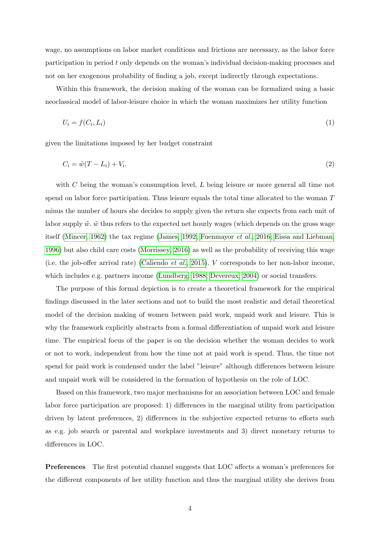wage, no assumptions on labor market conditions and frictions are necessary, as the labor force participation in period t only depends on the woman's individual decision-making processes and not on her exogenous probability of finding a job, except indirectly through expectations.

Within this framework, the decision making of the woman can be formalized using a basic neoclassical model of labor-leisure choice in which the woman maximizes her utility function

$$
U_i = f(C_i, L_i) \tag{1}
$$

given the limitations imposed by her budget constraint

$$
C_i = \tilde{w}(T - L_i) + V_i. \tag{2}
$$

with  $C$  being the woman's consumption level,  $L$  being leisure or more general all time not spend on labor force participation. Thus leisure equals the total time allocated to the woman  $T$ minus the number of hours she decides to supply given the return she expects from each unit of labor supply  $\tilde{w}$ .  $\tilde{w}$  thus refers to the expected net hourly wages (which depends on the gross wage itself [\(Mincer, 1962\)](#page-29-0) the tax regime [\(James, 1992;](#page-29-9) [Fuenmayor](#page-28-10) et al., [2016;](#page-28-10) [Eissa and Liebman,](#page-28-11) [1996\)](#page-28-11) but also child care costs [\(Morrissey, 2016\)](#page-29-10) as well as the probability of receiving this wage (i.e. the job-offer arrival rate) [\(Caliendo](#page-27-5) *et al.*, [2015\)](#page-27-5). V corresponds to her non-labor income, which includes e.g. partners income [\(Lundberg, 1988;](#page-29-11) [Devereux, 2004\)](#page-28-12) or social transfers.

The purpose of this formal depiction is to create a theoretical framework for the empirical findings discussed in the later sections and not to build the most realistic and detail theoretical model of the decision making of women between paid work, unpaid work and leisure. This is why the framework explicitly abstracts from a formal differentiation of unpaid work and leisure time. The empirical focus of the paper is on the decision whether the woman decides to work or not to work, independent from how the time not at paid work is spend. Thus, the time not spend for paid work is condensed under the label "leisure" although differences between leisure and unpaid work will be considered in the formation of hypothesis on the role of LOC.

Based on this framework, two major mechanisms for an association between LOC and female labor force participation are proposed: 1) differences in the marginal utility from participation driven by latent preferences, 2) differences in the subjective expected returns to efforts such as e.g. job search or parental and workplace investments and 3) direct monetary returns to differences in LOC.

Preferences The first potential channel suggests that LOC affects a woman's preferences for the different components of her utility function and thus the marginal utility she derives from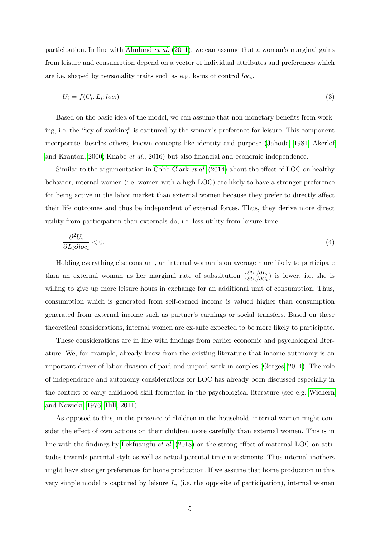participation. In line with [Almlund](#page-27-10) *et al.* [\(2011\)](#page-27-10), we can assume that a woman's marginal gains from leisure and consumption depend on a vector of individual attributes and preferences which are i.e. shaped by personality traits such as e.g. locus of control  $loc<sub>i</sub>$ .

$$
U_i = f(C_i, L_i; loc_i) \tag{3}
$$

Based on the basic idea of the model, we can assume that non-monetary benefits from working, i.e. the "joy of working" is captured by the woman's preference for leisure. This component incorporate, besides others, known concepts like identity and purpose [\(Jahoda, 1981;](#page-29-12) [Akerlof](#page-27-11) [and Kranton, 2000;](#page-27-11) [Knabe](#page-29-2) et al., [2016\)](#page-29-2) but also financial and economic independence.

Similar to the argumentation in [Cobb-Clark](#page-27-12)  $et al. (2014)$  $et al. (2014)$  about the effect of LOC on healthy behavior, internal women (i.e. women with a high LOC) are likely to have a stronger preference for being active in the labor market than external women because they prefer to directly affect their life outcomes and thus be independent of external forces. Thus, they derive more direct utility from participation than externals do, i.e. less utility from leisure time:

$$
\frac{\partial^2 U_i}{\partial L_i \partial \log_i} < 0. \tag{4}
$$

Holding everything else constant, an internal woman is on average more likely to participate than an external woman as her marginal rate of substitution  $\left(\frac{\partial U_i}{\partial U_i/\partial C_i}\right)$  is lower, i.e. she is willing to give up more leisure hours in exchange for an additional unit of consumption. Thus, consumption which is generated from self-earned income is valued higher than consumption generated from external income such as partner's earnings or social transfers. Based on these theoretical considerations, internal women are ex-ante expected to be more likely to participate.

These considerations are in line with findings from earlier economic and psychological literature. We, for example, already know from the existing literature that income autonomy is an important driver of labor division of paid and unpaid work in couples (Görges, 2014). The role of independence and autonomy considerations for LOC has already been discussed especially in the context of early childhood skill formation in the psychological literature (see e.g. [Wichern](#page-30-4) [and Nowicki, 1976;](#page-30-4) [Hill, 2011\)](#page-28-14).

As opposed to this, in the presence of children in the household, internal women might consider the effect of own actions on their children more carefully than external women. This is in line with the findings by [Lekfuangfu](#page-29-13) et al. [\(2018\)](#page-29-13) on the strong effect of maternal LOC on attitudes towards parental style as well as actual parental time investments. Thus internal mothers might have stronger preferences for home production. If we assume that home production in this very simple model is captured by leisure  $L_i$  (i.e. the opposite of participation), internal women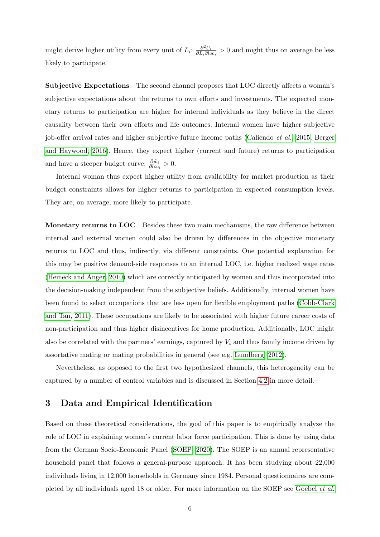might derive higher utility from every unit of  $L_i$ :  $\frac{\partial^2 U_i}{\partial L_i \partial L_i}$  $\frac{\partial^2 U_i}{\partial L_i \partial loc_i} > 0$  and might thus on average be less likely to participate.

Subjective Expectations The second channel proposes that LOC directly affects a woman's subjective expectations about the returns to own efforts and investments. The expected monetary returns to participation are higher for internal individuals as they believe in the direct causality between their own efforts and life outcomes. Internal women have higher subjective job-offer arrival rates and higher subjective future income paths [\(Caliendo](#page-27-5) et al., [2015;](#page-27-5) [Berger](#page-27-8) [and Haywood, 2016\)](#page-27-8). Hence, they expect higher (current and future) returns to participation and have a steeper budget curve:  $\frac{\partial \tilde{w}_i}{\partial loc_i} > 0$ .

Internal woman thus expect higher utility from availability for market production as their budget constraints allows for higher returns to participation in expected consumption levels. They are, on average, more likely to participate.

Monetary returns to LOC Besides these two main mechanisms, the raw difference between internal and external women could also be driven by differences in the objective monetary returns to LOC and thus, indirectly, via different constraints. One potential explanation for this may be positive demand-side responses to an internal LOC, i.e. higher realized wage rates [\(Heineck and Anger, 2010\)](#page-28-15) which are correctly anticipated by women and thus incorporated into the decision-making independent from the subjective beliefs. Additionally, internal women have been found to select occupations that are less open for flexible employment paths [\(Cobb-Clark](#page-28-6) [and Tan, 2011\)](#page-28-6). These occupations are likely to be associated with higher future career costs of non-participation and thus higher disincentives for home production. Additionally, LOC might also be correlated with the partners' earnings, captured by  $V_i$  and thus family income driven by assortative mating or mating probabilities in general (see e.g. [Lundberg, 2012\)](#page-29-14).

Nevertheless, as opposed to the first two hypothesized channels, this heterogeneity can be captured by a number of control variables and is discussed in Section [4.2](#page-13-0) in more detail.

## <span id="page-6-0"></span>3 Data and Empirical Identification

Based on these theoretical considerations, the goal of this paper is to empirically analyze the role of LOC in explaining women's current labor force participation. This is done by using data from the German Socio-Economic Panel [\(SOEP, 2020\)](#page-30-3). The SOEP is an annual representative household panel that follows a general-purpose approach. It has been studying about 22,000 individuals living in 12,000 households in Germany since 1984. Personal questionnaires are completed by all individuals aged 18 or older. For more information on the SOEP see [Goebel](#page-28-16) et al.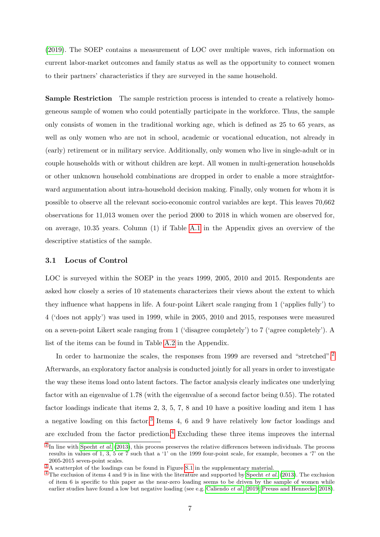[\(2019\)](#page-28-16). The SOEP contains a measurement of LOC over multiple waves, rich information on current labor-market outcomes and family status as well as the opportunity to connect women to their partners' characteristics if they are surveyed in the same household.

Sample Restriction The sample restriction process is intended to create a relatively homogeneous sample of women who could potentially participate in the workforce. Thus, the sample only consists of women in the traditional working age, which is defined as 25 to 65 years, as well as only women who are not in school, academic or vocational education, not already in (early) retirement or in military service. Additionally, only women who live in single-adult or in couple households with or without children are kept. All women in multi-generation households or other unknown household combinations are dropped in order to enable a more straightforward argumentation about intra-household decision making. Finally, only women for whom it is possible to observe all the relevant socio-economic control variables are kept. This leaves 70,662 observations for 11,013 women over the period 2000 to 2018 in which women are observed for, on average, 10.35 years. Column (1) if Table [A.1](#page-31-0) in the Appendix gives an overview of the descriptive statistics of the sample.

#### 3.1 Locus of Control

LOC is surveyed within the SOEP in the years 1999, 2005, 2010 and 2015. Respondents are asked how closely a series of 10 statements characterizes their views about the extent to which they influence what happens in life. A four-point Likert scale ranging from 1 ('applies fully') to 4 ('does not apply') was used in 1999, while in 2005, 2010 and 2015, responses were measured on a seven-point Likert scale ranging from 1 ('disagree completely') to 7 ('agree completely'). A list of the items can be found in Table [A.2](#page-33-0) in the Appendix.

<span id="page-7-3"></span>In order to harmonize the scales, the responses from 1999 are reversed and "stretched".<sup>[2](#page-7-0)</sup> Afterwards, an exploratory factor analysis is conducted jointly for all years in order to investigate the way these items load onto latent factors. The factor analysis clearly indicates one underlying factor with an eigenvalue of 1.78 (with the eigenvalue of a second factor being 0.55). The rotated factor loadings indicate that items 2, 3, 5, 7, 8 and 10 have a positive loading and item 1 has a negative loading on this factor.<sup>[3](#page-7-1)</sup> Items 4, 6 and 9 have relatively low factor loadings and are excluded from the factor prediction.<sup>[4](#page-7-2)</sup> Excluding these three items improves the internal

<span id="page-7-5"></span><span id="page-7-4"></span><span id="page-7-0"></span> $^{2}$  $^{2}$  $^{2}$ In line with [Specht](#page-30-5) *et al.* [\(2013\)](#page-30-5), this process preserves the relative differences between individuals. The process results in values of 1, 3, 5 or 7 such that a '1' on the 1999 four-point scale, for example, becomes a '7' on the 2005-2015 seven-point scales.

<span id="page-7-1"></span><sup>&</sup>lt;sup>[3](#page-7-4)</sup> A scatterplot of the loadings can be found in Figure [S.1](#page-36-0) in the supplementary material.

<span id="page-7-2"></span> $4$  The exclusion of items 4 and 9 is in line with the literature and supported by [Specht](#page-30-5) *et al.* [\(2013\)](#page-30-5). The exclusion of item 6 is specific to this paper as the near-zero loading seems to be driven by the sample of women while earlier studies have found a low but negative loading (see e.g. [Caliendo](#page-27-7) et al., [2019;](#page-27-7) [Preuss and Hennecke, 2018\)](#page-29-15).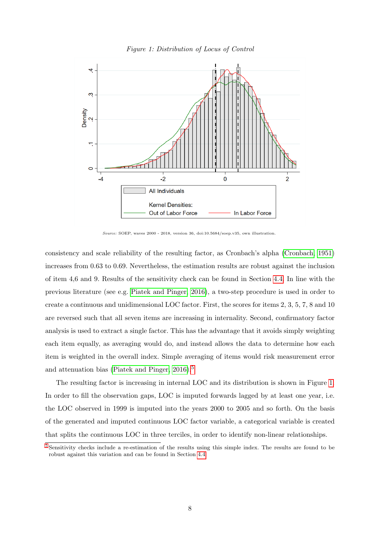<span id="page-8-1"></span>

Figure 1: Distribution of Locus of Control

Source: SOEP, waves 2000 - 2018, version 36, doi:10.5684/soep.v35, own illustration.

consistency and scale reliability of the resulting factor, as Cronbach's alpha [\(Cronbach, 1951\)](#page-28-17) increases from 0.63 to 0.69. Nevertheless, the estimation results are robust against the inclusion of item 4,6 and 9. Results of the sensitivity check can be found in Section [4.4.](#page-17-0) In line with the previous literature (see e.g. [Piatek and Pinger, 2016\)](#page-29-16), a two-step procedure is used in order to create a continuous and unidimensional LOC factor. First, the scores for items 2, 3, 5, 7, 8 and 10 are reversed such that all seven items are increasing in internality. Second, confirmatory factor analysis is used to extract a single factor. This has the advantage that it avoids simply weighting each item equally, as averaging would do, and instead allows the data to determine how each item is weighted in the overall index. Simple averaging of items would risk measurement error and attenuation bias [\(Piatek and Pinger, 2016\)](#page-29-16).<sup>[5](#page-8-0)</sup>

<span id="page-8-2"></span>The resulting factor is increasing in internal LOC and its distribution is shown in Figure [1.](#page-8-1) In order to fill the observation gaps, LOC is imputed forwards lagged by at least one year, i.e. the LOC observed in 1999 is imputed into the years 2000 to 2005 and so forth. On the basis of the generated and imputed continuous LOC factor variable, a categorical variable is created that splits the continuous LOC in three terciles, in order to identify non-linear relationships.

<span id="page-8-3"></span><span id="page-8-0"></span>[<sup>5</sup>](#page-8-2) Sensitivity checks include a re-estimation of the results using this simple index. The results are found to be robust against this variation and can be found in Section [4.4.](#page-17-0)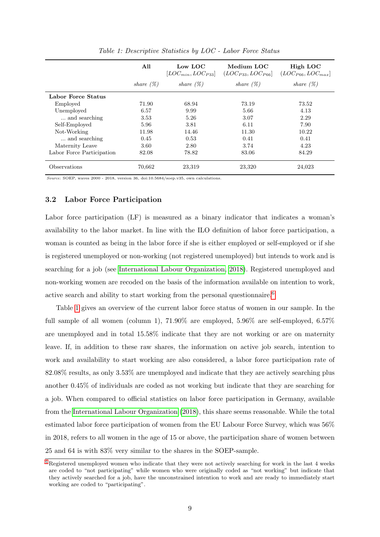<span id="page-9-1"></span>

|                           | All          | Low LOC<br>$[LOC_{min}, LOC_{P33}]$ | Medium LOC<br>$(LOC_{P33}, LOC_{P66}]$ | High LOC<br>$(LOC_{P66}, LOC_{max}]$ |
|---------------------------|--------------|-------------------------------------|----------------------------------------|--------------------------------------|
|                           | share $(\%)$ | share $(\%)$                        | share $(\%)$                           | share $(\%)$                         |
| Labor Force Status        |              |                                     |                                        |                                      |
| Employed                  | 71.90        | 68.94                               | 73.19                                  | 73.52                                |
| Unemployed                | 6.57         | 9.99                                | 5.66                                   | 4.13                                 |
| and searching             | 3.53         | 5.26                                | 3.07                                   | 2.29                                 |
| Self-Employed             | 5.96         | 3.81                                | 6.11                                   | 7.90                                 |
| Not-Working               | 11.98        | 14.46                               | 11.30                                  | 10.22                                |
| and searching             | 0.45         | 0.53                                | 0.41                                   | 0.41                                 |
| Maternity Leave           | 3.60         | 2.80                                | 3.74                                   | 4.23                                 |
| Labor Force Participation | 82.08        | 78.82                               | 83.06                                  | 84.29                                |
| Observations              | 70.662       | 23,319                              | 23,320                                 | 24,023                               |

Table 1: Descriptive Statistics by LOC - Labor Force Status

Source: SOEP, waves 2000 - 2018, version 36, doi:10.5684/soep.v35, own calculations.

#### 3.2 Labor Force Participation

Labor force participation (LF) is measured as a binary indicator that indicates a woman's availability to the labor market. In line with the ILO definition of labor force participation, a woman is counted as being in the labor force if she is either employed or self-employed or if she is registered unemployed or non-working (not registered unemployed) but intends to work and is searching for a job (see [International Labour Organization, 2018\)](#page-29-8). Registered unemployed and non-working women are recoded on the basis of the information available on intention to work, active search and ability to start working from the personal questionnaire.<sup>[6](#page-9-0)</sup>

<span id="page-9-2"></span>Table [1](#page-9-1) gives an overview of the current labor force status of women in our sample. In the full sample of all women (column 1), 71.90% are employed, 5.96% are self-employed, 6.57% are unemployed and in total 15.58% indicate that they are not working or are on maternity leave. If, in addition to these raw shares, the information on active job search, intention to work and availability to start working are also considered, a labor force participation rate of 82.08% results, as only 3.53% are unemployed and indicate that they are actively searching plus another 0.45% of individuals are coded as not working but indicate that they are searching for a job. When compared to official statistics on labor force participation in Germany, available from the [International Labour Organization](#page-29-8) [\(2018\)](#page-29-8), this share seems reasonable. While the total estimated labor force participation of women from the EU Labour Force Survey, which was 56% in 2018, refers to all women in the age of 15 or above, the participation share of women between 25 and 64 is with 83% very similar to the shares in the SOEP-sample.

<span id="page-9-0"></span><sup>&</sup>lt;sup>[6](#page-9-2)</sup> Registered unemployed women who indicate that they were not actively searching for work in the last 4 weeks are coded to "not participating" while women who were originally coded as "not working" but indicate that they actively searched for a job, have the unconstrained intention to work and are ready to immediately start working are coded to "participating".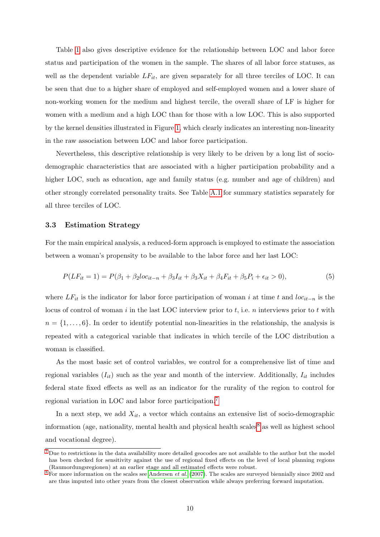Table [1](#page-9-1) also gives descriptive evidence for the relationship between LOC and labor force status and participation of the women in the sample. The shares of all labor force statuses, as well as the dependent variable  $LF_{it}$ , are given separately for all three terciles of LOC. It can be seen that due to a higher share of employed and self-employed women and a lower share of non-working women for the medium and highest tercile, the overall share of LF is higher for women with a medium and a high LOC than for those with a low LOC. This is also supported by the kernel densities illustrated in Figure [1,](#page-8-1) which clearly indicates an interesting non-linearity in the raw association between LOC and labor force participation.

Nevertheless, this descriptive relationship is very likely to be driven by a long list of sociodemographic characteristics that are associated with a higher participation probability and a higher LOC, such as education, age and family status (e.g. number and age of children) and other strongly correlated personality traits. See Table [A.1](#page-31-0) for summary statistics separately for all three terciles of LOC.

#### <span id="page-10-5"></span>3.3 Estimation Strategy

For the main empirical analysis, a reduced-form approach is employed to estimate the association between a woman's propensity to be available to the labor force and her last LOC:

<span id="page-10-4"></span>
$$
P(LF_{it} = 1) = P(\beta_1 + \beta_2 loc_{it-n} + \beta_3 I_{it} + \beta_3 X_{it} + \beta_4 F_{it} + \beta_5 P_i + \epsilon_{it} > 0),
$$
\n(5)

where  $LF_{it}$  is the indicator for labor force participation of woman i at time t and loc<sub>it−n</sub> is the locus of control of woman  $i$  in the last LOC interview prior to  $t$ , i.e.  $n$  interviews prior to  $t$  with  $n = \{1, \ldots, 6\}$ . In order to identify potential non-linearities in the relationship, the analysis is repeated with a categorical variable that indicates in which tercile of the LOC distribution a woman is classified.

As the most basic set of control variables, we control for a comprehensive list of time and regional variables  $(I_{it})$  such as the year and month of the interview. Additionally,  $I_{it}$  includes federal state fixed effects as well as an indicator for the rurality of the region to control for regional variation in LOC and labor force participation.[7](#page-10-0)

<span id="page-10-3"></span><span id="page-10-2"></span>In a next step, we add  $X_{it}$ , a vector which contains an extensive list of socio-demographic information (age, nationality, mental health and physical health scales  $\delta$  as well as highest school and vocational degree).

<span id="page-10-0"></span>[<sup>7</sup>](#page-10-2) Due to restrictions in the data availability more detailed geocodes are not available to the author but the model has been checked for sensitivity against the use of regional fixed effects on the level of local planning regions (Raumordungsregionen) at an earlier stage and all estimated effects were robust.

<span id="page-10-1"></span> $8$  For more information on the scales see [Andersen](#page-27-13) *et al.* [\(2007\)](#page-27-13). The scales are surveyed biennially since 2002 and are thus imputed into other years from the closest observation while always preferring forward imputation.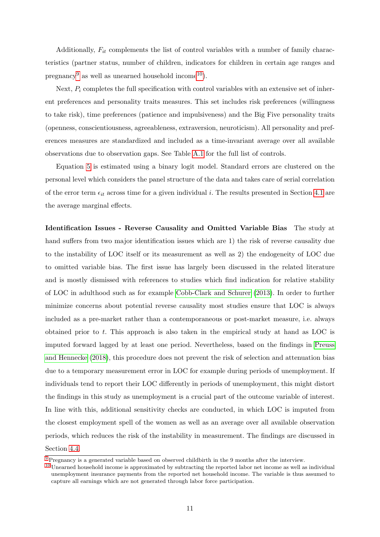<span id="page-11-3"></span><span id="page-11-2"></span>Additionally,  $F_{it}$  complements the list of control variables with a number of family characteristics (partner status, number of children, indicators for children in certain age ranges and pregnancy<sup>[9](#page-11-0)</sup> as well as unearned household income<sup>[10](#page-11-1)</sup>).

Next,  $P_i$  completes the full specification with control variables with an extensive set of inherent preferences and personality traits measures. This set includes risk preferences (willingness to take risk), time preferences (patience and impulsiveness) and the Big Five personality traits (openness, conscientiousness, agreeableness, extraversion, neuroticism). All personality and preferences measures are standardized and included as a time-invariant average over all available observations due to observation gaps. See Table [A.1](#page-31-0) for the full list of controls.

Equation [5](#page-10-4) is estimated using a binary logit model. Standard errors are clustered on the personal level which considers the panel structure of the data and takes care of serial correlation of the error term  $\epsilon_{it}$  across time for a given individual i. The results presented in Section [4.1](#page-12-1) are the average marginal effects.

Identification Issues - Reverse Causality and Omitted Variable Bias The study at hand suffers from two major identification issues which are 1) the risk of reverse causality due to the instability of LOC itself or its measurement as well as 2) the endogeneity of LOC due to omitted variable bias. The first issue has largely been discussed in the related literature and is mostly dismissed with references to studies which find indication for relative stability of LOC in adulthood such as for example [Cobb-Clark and Schurer](#page-28-18) [\(2013\)](#page-28-18). In order to further minimize concerns about potential reverse causality most studies ensure that LOC is always included as a pre-market rather than a contemporaneous or post-market measure, i.e. always obtained prior to t. This approach is also taken in the empirical study at hand as LOC is imputed forward lagged by at least one period. Nevertheless, based on the findings in [Preuss](#page-29-15) [and Hennecke](#page-29-15) [\(2018\)](#page-29-15), this procedure does not prevent the risk of selection and attenuation bias due to a temporary measurement error in LOC for example during periods of unemployment. If individuals tend to report their LOC differently in periods of unemployment, this might distort the findings in this study as unemployment is a crucial part of the outcome variable of interest. In line with this, additional sensitivity checks are conducted, in which LOC is imputed from the closest employment spell of the women as well as an average over all available observation periods, which reduces the risk of the instability in measurement. The findings are discussed in Section [4.4.](#page-17-0)

<span id="page-11-0"></span>[<sup>9</sup>](#page-11-2) Pregnancy is a generated variable based on observed childbirth in the 9 months after the interview.

<span id="page-11-1"></span><sup>&</sup>lt;sup>[10](#page-11-3)</sup> Unearned household income is approximated by subtracting the reported labor net income as well as individual unemployment insurance payments from the reported net household income. The variable is thus assumed to capture all earnings which are not generated through labor force participation.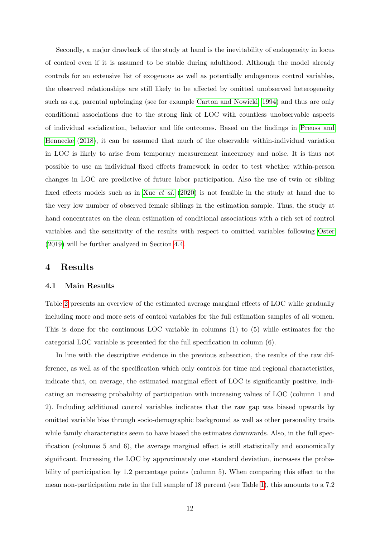Secondly, a major drawback of the study at hand is the inevitability of endogeneity in locus of control even if it is assumed to be stable during adulthood. Although the model already controls for an extensive list of exogenous as well as potentially endogenous control variables, the observed relationships are still likely to be affected by omitted unobserved heterogeneity such as e.g. parental upbringing (see for example [Carton and Nowicki, 1994\)](#page-27-14) and thus are only conditional associations due to the strong link of LOC with countless unobservable aspects of individual socialization, behavior and life outcomes. Based on the findings in [Preuss and](#page-29-15) [Hennecke](#page-29-15) [\(2018\)](#page-29-15), it can be assumed that much of the observable within-individual variation in LOC is likely to arise from temporary measurement inaccuracy and noise. It is thus not possible to use an individual fixed effects framework in order to test whether within-person changes in LOC are predictive of future labor participation. Also the use of twin or sibling fixed effects models such as in Xue [et al.](#page-30-2) [\(2020\)](#page-30-2) is not feasible in the study at hand due to the very low number of observed female siblings in the estimation sample. Thus, the study at hand concentrates on the clean estimation of conditional associations with a rich set of control variables and the sensitivity of the results with respect to omitted variables following [Oster](#page-29-17) [\(2019\)](#page-29-17) will be further analyzed in Section [4.4.](#page-17-0)

#### <span id="page-12-0"></span>4 Results

#### <span id="page-12-1"></span>4.1 Main Results

Table [2](#page-13-1) presents an overview of the estimated average marginal effects of LOC while gradually including more and more sets of control variables for the full estimation samples of all women. This is done for the continuous LOC variable in columns (1) to (5) while estimates for the categorial LOC variable is presented for the full specification in column (6).

In line with the descriptive evidence in the previous subsection, the results of the raw difference, as well as of the specification which only controls for time and regional characteristics, indicate that, on average, the estimated marginal effect of LOC is significantly positive, indicating an increasing probability of participation with increasing values of LOC (column 1 and 2). Including additional control variables indicates that the raw gap was biased upwards by omitted variable bias through socio-demographic background as well as other personality traits while family characteristics seem to have biased the estimates downwards. Also, in the full specification (columns 5 and 6), the average marginal effect is still statistically and economically significant. Increasing the LOC by approximately one standard deviation, increases the probability of participation by 1.2 percentage points (column 5). When comparing this effect to the mean non-participation rate in the full sample of 18 percent (see Table [1\)](#page-9-1), this amounts to a 7.2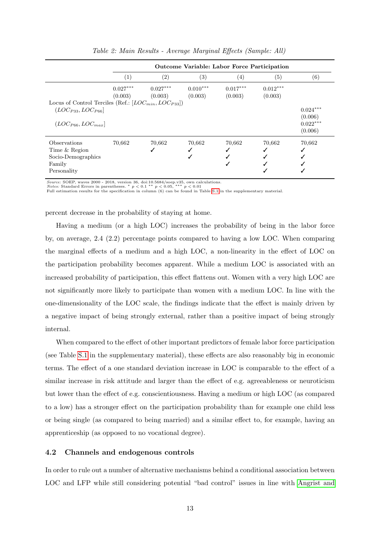<span id="page-13-1"></span>

|                                                                                                                     |                       | <b>Outcome Variable: Labor Force Participation</b> |                       |                       |                       |                                                |  |  |  |  |
|---------------------------------------------------------------------------------------------------------------------|-----------------------|----------------------------------------------------|-----------------------|-----------------------|-----------------------|------------------------------------------------|--|--|--|--|
|                                                                                                                     | $\left( 1\right)$     | $\left( 2\right)$                                  | $\left( 3\right)$     | $\left( 4\right)$     | (5)                   | (6)                                            |  |  |  |  |
| Locus of Control Terciles (Ref.: $[LOC_{min}, LOC_{P33}]$ )<br>$(LOC_{P33}, LOC_{P66}]$<br>$(LOC_{P66}, LOC_{max}]$ | $0.027***$<br>(0.003) | $0.027***$<br>(0.003)                              | $0.010***$<br>(0.003) | $0.017***$<br>(0.003) | $0.012***$<br>(0.003) | $0.024***$<br>(0.006)<br>$0.022***$<br>(0.006) |  |  |  |  |
| Observations<br>Time & Region<br>Socio-Demographics<br>Family<br>Personality                                        | 70,662                | 70,662                                             | 70,662<br>✔           | 70,662                | 70,662                | 70,662                                         |  |  |  |  |

Table 2: Main Results - Average Marginal Effects (Sample: All)

Source: SOEP, waves 2000 - 2018, version 36, doi:10.5684/soep.v35, own calculations.

*Notes:* Standard Errors in parentheses. \*  $p < 0.1$  \*\*  $p < 0.05$ , \*\*\*  $p < 0.01$ <br>Full estimation results for the specification in column (6) can be found in Table [S.1](#page-31-0) in the supplementary material.

percent decrease in the probability of staying at home.

Having a medium (or a high LOC) increases the probability of being in the labor force by, on average, 2.4 (2.2) percentage points compared to having a low LOC. When comparing the marginal effects of a medium and a high LOC, a non-linearity in the effect of LOC on the participation probability becomes apparent. While a medium LOC is associated with an increased probability of participation, this effect flattens out. Women with a very high LOC are not significantly more likely to participate than women with a medium LOC. In line with the one-dimensionality of the LOC scale, the findings indicate that the effect is mainly driven by a negative impact of being strongly external, rather than a positive impact of being strongly internal.

When compared to the effect of other important predictors of female labor force participation (see Table [S.1](#page-31-0) in the supplementary material), these effects are also reasonably big in economic terms. The effect of a one standard deviation increase in LOC is comparable to the effect of a similar increase in risk attitude and larger than the effect of e.g. agreeableness or neuroticism but lower than the effect of e.g. conscientiousness. Having a medium or high LOC (as compared to a low) has a stronger effect on the participation probability than for example one child less or being single (as compared to being married) and a similar effect to, for example, having an apprenticeship (as opposed to no vocational degree).

#### <span id="page-13-0"></span>4.2 Channels and endogenous controls

In order to rule out a number of alternative mechanisms behind a conditional association between LOC and LFP while still considering potential "bad control" issues in line with [Angrist and](#page-27-15)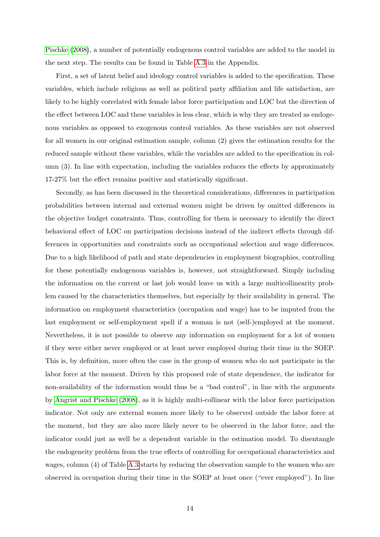[Pischke](#page-27-15) [\(2008\)](#page-27-15), a number of potentially endogenous control variables are added to the model in the next step. The results can be found in Table [A.3](#page-34-0) in the Appendix.

First, a set of latent belief and ideology control variables is added to the specification. These variables, which include religious as well as political party affiliation and life satisfaction, are likely to be highly correlated with female labor force participation and LOC but the direction of the effect between LOC and these variables is less clear, which is why they are treated as endogenous variables as opposed to exogenous control variables. As these variables are not observed for all women in our original estimation sample, column (2) gives the estimation results for the reduced sample without these variables, while the variables are added to the specification in column (3). In line with expectation, including the variables reduces the effects by approximately 17-27% but the effect remains positive and statistically significant.

Secondly, as has been discussed in the theoretical considerations, differences in participation probabilities between internal and external women might be driven by omitted differences in the objective budget constraints. Thus, controlling for them is necessary to identify the direct behavioral effect of LOC on participation decisions instead of the indirect effects through differences in opportunities and constraints such as occupational selection and wage differences. Due to a high likelihood of path and state dependencies in employment biographies, controlling for these potentially endogenous variables is, however, not straightforward. Simply including the information on the current or last job would leave us with a large multicollinearity problem caused by the characteristics themselves, but especially by their availability in general. The information on employment characteristics (occupation and wage) has to be imputed from the last employment or self-employment spell if a woman is not (self-)employed at the moment. Nevertheless, it is not possible to observe any information on employment for a lot of women if they were either never employed or at least never employed during their time in the SOEP. This is, by definition, more often the case in the group of women who do not participate in the labor force at the moment. Driven by this proposed role of state dependence, the indicator for non-availability of the information would thus be a "bad control", in line with the arguments by [Angrist and Pischke](#page-27-15) [\(2008\)](#page-27-15), as it is highly multi-collinear with the labor force participation indicator. Not only are external women more likely to be observed outside the labor force at the moment, but they are also more likely never to be observed in the labor force, and the indicator could just as well be a dependent variable in the estimation model. To disentangle the endogeneity problem from the true effects of controlling for occupational characteristics and wages, column (4) of Table [A.3](#page-34-0) starts by reducing the observation sample to the women who are observed in occupation during their time in the SOEP at least once ("ever employed"). In line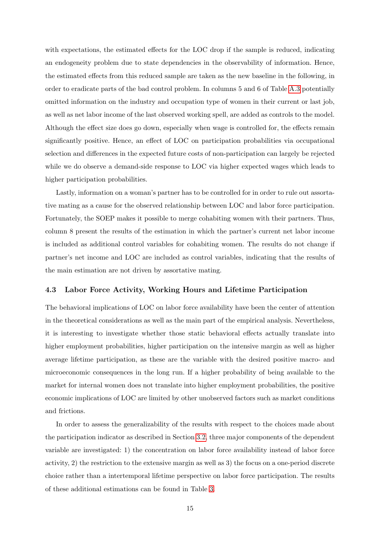with expectations, the estimated effects for the LOC drop if the sample is reduced, indicating an endogeneity problem due to state dependencies in the observability of information. Hence, the estimated effects from this reduced sample are taken as the new baseline in the following, in order to eradicate parts of the bad control problem. In columns 5 and 6 of Table [A.3](#page-34-0) potentially omitted information on the industry and occupation type of women in their current or last job, as well as net labor income of the last observed working spell, are added as controls to the model. Although the effect size does go down, especially when wage is controlled for, the effects remain significantly positive. Hence, an effect of LOC on participation probabilities via occupational selection and differences in the expected future costs of non-participation can largely be rejected while we do observe a demand-side response to LOC via higher expected wages which leads to higher participation probabilities.

Lastly, information on a woman's partner has to be controlled for in order to rule out assortative mating as a cause for the observed relationship between LOC and labor force participation. Fortunately, the SOEP makes it possible to merge cohabiting women with their partners. Thus, column 8 present the results of the estimation in which the partner's current net labor income is included as additional control variables for cohabiting women. The results do not change if partner's net income and LOC are included as control variables, indicating that the results of the main estimation are not driven by assortative mating.

#### 4.3 Labor Force Activity, Working Hours and Lifetime Participation

The behavioral implications of LOC on labor force availability have been the center of attention in the theoretical considerations as well as the main part of the empirical analysis. Nevertheless, it is interesting to investigate whether those static behavioral effects actually translate into higher employment probabilities, higher participation on the intensive margin as well as higher average lifetime participation, as these are the variable with the desired positive macro- and microeconomic consequences in the long run. If a higher probability of being available to the market for internal women does not translate into higher employment probabilities, the positive economic implications of LOC are limited by other unobserved factors such as market conditions and frictions.

In order to assess the generalizability of the results with respect to the choices made about the participation indicator as described in Section [3.2,](#page-8-3) three major components of the dependent variable are investigated: 1) the concentration on labor force availability instead of labor force activity, 2) the restriction to the extensive margin as well as 3) the focus on a one-period discrete choice rather than a intertemporal lifetime perspective on labor force participation. The results of these additional estimations can be found in Table [3.](#page-16-0)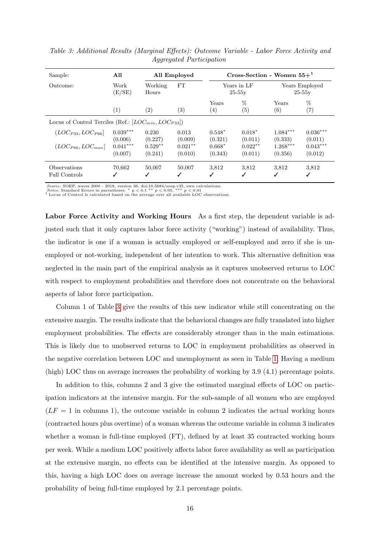| Sample:                                                     | All                                         |                      | All Employed          | Cross-Section - Women $55+^1$ |                      |                            |                        |  |
|-------------------------------------------------------------|---------------------------------------------|----------------------|-----------------------|-------------------------------|----------------------|----------------------------|------------------------|--|
| Outcome:                                                    | Work<br>$\left( {\rm{E}}/{\rm{SE}} \right)$ | Working<br>Hours     | FT                    | Years in LF<br>$25-55v$       |                      | Years Employed<br>$25-55v$ |                        |  |
|                                                             | $\left(1\right)$                            | (2)                  | (3)                   | Years<br>(4)                  | %<br>(5)             | Years<br>(6)               | %<br>$\left( 7\right)$ |  |
| Locus of Control Terciles (Ref.: $[LOC_{min}, LOC_{P33}]$ ) |                                             |                      |                       |                               |                      |                            |                        |  |
| $(LOC_{P33}, LOC_{P66}]$                                    | $0.039***$<br>(0.006)                       | 0.230<br>(0.227)     | 0.013<br>(0.009)      | $0.548*$<br>(0.321)           | $0.018*$<br>(0.011)  | $1.084***$<br>(0.333)      | $0.036***$<br>(0.011)  |  |
| $(LOC_{P66}, LOC_{max}]$                                    | $0.041***$<br>(0.007)                       | $0.529**$<br>(0.241) | $0.021***$<br>(0.010) | $0.668*$<br>(0.343)           | $0.022**$<br>(0.011) | $1.268***$<br>(0.356)      | $0.043***$<br>(0.012)  |  |
| Observations<br><b>Full Controls</b>                        | 70,662                                      | 50,007<br>✓          | 50,007<br>✓           | 3,812<br>✓                    | 3,812                | 3,812<br>✓                 | 3,812<br>✓             |  |

<span id="page-16-0"></span>Table 3: Additional Results (Marginal Effects): Outcome Variable - Labor Force Activity and Aggregated Participation

Source: SOEP, waves 2000 - 2018, version 36, doi:10.5684/soep.v35, own calculations.

*Notes:* Standard Errors in parentheses. \*  $p < 0.1$  \*\*  $p < 0.05$ , \*\*\*  $p < 0.01$ <br><sup>1</sup> Locus of Control is calculated based on the average over all available LOC observations.

Labor Force Activity and Working Hours As a first step, the dependent variable is adjusted such that it only captures labor force activity ("working") instead of availability. Thus, the indicator is one if a woman is actually employed or self-employed and zero if she is unemployed or not-working, independent of her intention to work. This alternative definition was neglected in the main part of the empirical analysis as it captures unobserved returns to LOC with respect to employment probabilities and therefore does not concentrate on the behavioral aspects of labor force participation.

Column 1 of Table [3](#page-16-0) give the results of this new indicator while still concentrating on the extensive margin. The results indicate that the behavioral changes are fully translated into higher employment probabilities. The effects are considerably stronger than in the main estimations. This is likely due to unobserved returns to LOC in employment probabilities as observed in the negative correlation between LOC and unemployment as seen in Table [1.](#page-9-1) Having a medium (high) LOC thus on average increases the probability of working by 3.9 (4.1) percentage points.

In addition to this, columns 2 and 3 give the estimated marginal effects of LOC on participation indicators at the intensive margin. For the sub-sample of all women who are employed  $(LF = 1$  in columns 1), the outcome variable in column 2 indicates the actual working hours (contracted hours plus overtime) of a woman whereas the outcome variable in column 3 indicates whether a woman is full-time employed (FT), defined by at least 35 contracted working hours per week. While a medium LOC positively affects labor force availability as well as participation at the extensive margin, no effects can be identified at the intensive margin. As opposed to this, having a high LOC does on average increase the amount worked by 0.53 hours and the probability of being full-time employed by 2.1 percentage points.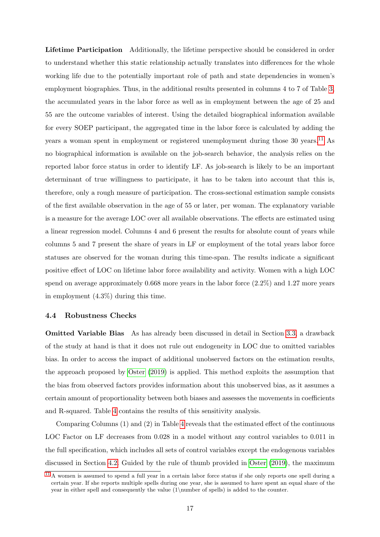<span id="page-17-2"></span>Lifetime Participation Additionally, the lifetime perspective should be considered in order to understand whether this static relationship actually translates into differences for the whole working life due to the potentially important role of path and state dependencies in women's employment biographies. Thus, in the additional results presented in columns 4 to 7 of Table [3,](#page-16-0) the accumulated years in the labor force as well as in employment between the age of 25 and 55 are the outcome variables of interest. Using the detailed biographical information available for every SOEP participant, the aggregated time in the labor force is calculated by adding the years a woman spent in employment or registered unemployment during those  $30 \text{ years.}^{11}$  $30 \text{ years.}^{11}$  $30 \text{ years.}^{11}$  As no biographical information is available on the job-search behavior, the analysis relies on the reported labor force status in order to identify LF. As job-search is likely to be an important determinant of true willingness to participate, it has to be taken into account that this is, therefore, only a rough measure of participation. The cross-sectional estimation sample consists of the first available observation in the age of 55 or later, per woman. The explanatory variable is a measure for the average LOC over all available observations. The effects are estimated using a linear regression model. Columns 4 and 6 present the results for absolute count of years while columns 5 and 7 present the share of years in LF or employment of the total years labor force statuses are observed for the woman during this time-span. The results indicate a significant positive effect of LOC on lifetime labor force availability and activity. Women with a high LOC spend on average approximately 0.668 more years in the labor force (2.2%) and 1.27 more years in employment (4.3%) during this time.

#### <span id="page-17-0"></span>4.4 Robustness Checks

Omitted Variable Bias As has already been discussed in detail in Section [3.3,](#page-10-5) a drawback of the study at hand is that it does not rule out endogeneity in LOC due to omitted variables bias. In order to access the impact of additional unobserved factors on the estimation results, the approach proposed by [Oster](#page-29-17) [\(2019\)](#page-29-17) is applied. This method exploits the assumption that the bias from observed factors provides information about this unobserved bias, as it assumes a certain amount of proportionality between both biases and assesses the movements in coefficients and R-squared. Table [4](#page-18-0) contains the results of this sensitivity analysis.

Comparing Columns (1) and (2) in Table [4](#page-18-0) reveals that the estimated effect of the continuous LOC Factor on LF decreases from 0.028 in a model without any control variables to 0.011 in the full specification, which includes all sets of control variables except the endogenous variables discussed in Section [4.2.](#page-13-0) Guided by the rule of thumb provided in [Oster](#page-29-17) [\(2019\)](#page-29-17), the maximum

<span id="page-17-1"></span> $11$  A women is assumed to spend a full year in a certain labor force status if she only reports one spell during a certain year. If she reports multiple spells during one year, she is assumed to have spent an equal share of the year in either spell and consequently the value (1\number of spells) is added to the counter.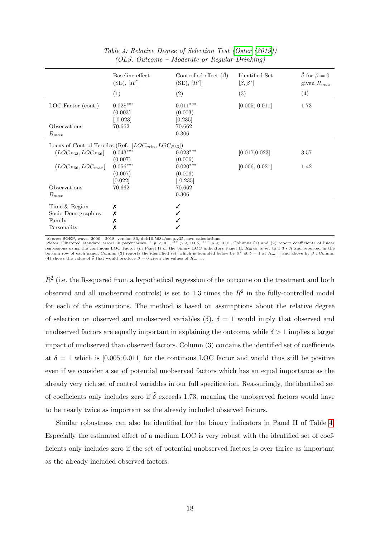<span id="page-18-0"></span>

|                          | Baseline effect<br>$(SE), [R^2]$                            | Controlled effect $(\tilde{\beta})$<br>$(SE), [R^2]$ | <b>Identified Set</b><br>$[\tilde{\beta}, \beta^*]$ | $\delta$ for $\beta = 0$<br>given $R_{max}$ |  |
|--------------------------|-------------------------------------------------------------|------------------------------------------------------|-----------------------------------------------------|---------------------------------------------|--|
|                          | (1)                                                         | (2)                                                  | (3)                                                 | (4)                                         |  |
| LOC Factor (cont.)       | $0.028***$<br>(0.003)<br>$\left[0.023\right]$               | $0.011^{***}\,$<br>(0.003)<br>[0.235]                | [0.005, 0.011]                                      | 1.73                                        |  |
| Observations             | 70,662                                                      | 70,662                                               |                                                     |                                             |  |
| $R_{max}$                |                                                             | 0.306                                                |                                                     |                                             |  |
|                          | Locus of Control Terciles (Ref.: $[LOC_{min}, LOC_{P33}]$ ) |                                                      |                                                     |                                             |  |
| $(LOC_{P33}, LOC_{P66}]$ | $0.043***$                                                  | $0.023***$                                           | [0.017, 0.023]                                      | 3.57                                        |  |
|                          | (0.007)                                                     | (0.006)                                              |                                                     |                                             |  |
| $(LOC_{P66}, LOC_{max}]$ | $0.056^{\ast\ast\ast}$                                      | $0.020***$                                           | [0.006, 0.021]                                      | 1.42                                        |  |
|                          | (0.007)                                                     | (0.006)                                              |                                                     |                                             |  |
|                          | [0.022]                                                     | 0.235                                                |                                                     |                                             |  |
| Observations             | 70,662                                                      | 70,662                                               |                                                     |                                             |  |
| $R_{max}$                |                                                             | 0.306                                                |                                                     |                                             |  |
| Time & Region            | Х                                                           |                                                      |                                                     |                                             |  |
| Socio-Demographics       | Х                                                           |                                                      |                                                     |                                             |  |
| Family                   | Х                                                           |                                                      |                                                     |                                             |  |
| Personality              | Х                                                           |                                                      |                                                     |                                             |  |

Table 4: Relative Degree of Selection Test [\(Oster](#page-29-17) [\(2019\)](#page-29-17)) (OLS, Outcome – Moderate or Regular Drinking)

Source: SOEP, waves 2000 - 2018, version 36, doi:10.5684/soep.v35, own calculations.<br>Notes: Clustered standard errors in parentheses. \*  $p < 0.1$ , \*\*  $p < 0.05$ , \*\*\*  $p < 0.01$ . Columns (1) and (2) report coefficients of lin regressions using the continous LOC Factor (in Panel I) or the binary LOC indicators Panel II.  $R_{max}$  is set to 1.3  $\ast$   $\tilde{R}$  and reported in the bottom row of each panel. Column (3) reports the identified set, which is bounded below by  $\beta^*$  at  $\delta = 1$  at  $R_{max}$  and above by  $\tilde{\beta}$  . Column (4) shows the value of  $\tilde{\delta}$  that would produce  $\beta = 0$  given the values of  $R_{max}$ .

 $R<sup>2</sup>$  (i.e. the R-squared from a hypothetical regression of the outcome on the treatment and both observed and all unobserved controls) is set to 1.3 times the  $R^2$  in the fully-controlled model for each of the estimations. The method is based on assumptions about the relative degree of selection on observed and unobserved variables  $(\delta)$ .  $\delta = 1$  would imply that observed and unobserved factors are equally important in explaining the outcome, while  $\delta > 1$  implies a larger impact of unobserved than observed factors. Column (3) contains the identified set of coefficients at  $\delta = 1$  which is [0.005; 0.011] for the continuous LOC factor and would thus still be positive even if we consider a set of potential unobserved factors which has an equal importance as the already very rich set of control variables in our full specification. Reassuringly, the identified set of coefficients only includes zero if  $\tilde{\delta}$  exceeds 1.73, meaning the unobserved factors would have to be nearly twice as important as the already included observed factors.

Similar robustness can also be identified for the binary indicators in Panel II of Table [4.](#page-18-0) Especially the estimated effect of a medium LOC is very robust with the identified set of coefficients only includes zero if the set of potential unobserved factors is over thrice as important as the already included observed factors.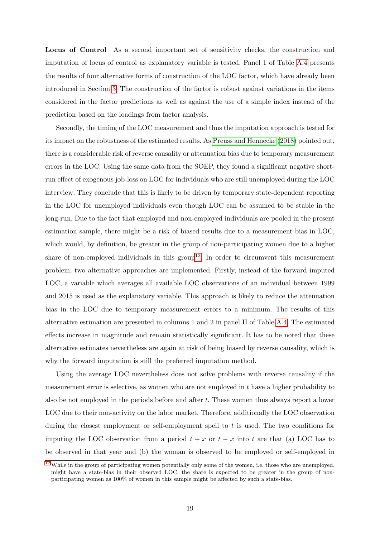Locus of Control As a second important set of sensitivity checks, the construction and imputation of locus of control as explanatory variable is tested. Panel 1 of Table [A.4](#page-35-0) presents the results of four alternative forms of construction of the LOC factor, which have already been introduced in Section [3.](#page-6-0) The construction of the factor is robust against variations in the items considered in the factor predictions as well as against the use of a simple index instead of the prediction based on the loadings from factor analysis.

<span id="page-19-1"></span>Secondly, the timing of the LOC measurement and thus the imputation approach is tested for its impact on the robustness of the estimated results. As [Preuss and Hennecke](#page-29-15) [\(2018\)](#page-29-15) pointed out, there is a considerable risk of reverse causality or attenuation bias due to temporary measurement errors in the LOC. Using the same data from the SOEP, they found a significant negative shortrun effect of exogenous job-loss on LOC for individuals who are still unemployed during the LOC interview. They conclude that this is likely to be driven by temporary state-dependent reporting in the LOC for unemployed individuals even though LOC can be assumed to be stable in the long-run. Due to the fact that employed and non-employed individuals are pooled in the present estimation sample, there might be a risk of biased results due to a measurement bias in LOC, which would, by definition, be greater in the group of non-participating women due to a higher share of non-employed individuals in this group<sup>[12](#page-19-0)</sup>. In order to circumvent this measurement problem, two alternative approaches are implemented. Firstly, instead of the forward imputed LOC, a variable which averages all available LOC observations of an individual between 1999 and 2015 is used as the explanatory variable. This approach is likely to reduce the attenuation bias in the LOC due to temporary measurement errors to a minimum. The results of this alternative estimation are presented in columns 1 and 2 in panel II of Table [A.4.](#page-35-0) The estimated effects increase in magnitude and remain statistically significant. It has to be noted that these alternative estimates nevertheless are again at risk of being biased by reverse causality, which is why the forward imputation is still the preferred imputation method.

Using the average LOC nevertheless does not solve problems with reverse causality if the measurement error is selective, as women who are not employed in t have a higher probability to also be not employed in the periods before and after  $t$ . These women thus always report a lower LOC due to their non-activity on the labor market. Therefore, additionally the LOC observation during the closest employment or self-employment spell to  $t$  is used. The two conditions for imputing the LOC observation from a period  $t + x$  or  $t - x$  into t are that (a) LOC has to be observed in that year and (b) the woman is observed to be employed or self-employed in

<span id="page-19-0"></span> $\frac{12}{12}$  $\frac{12}{12}$  $\frac{12}{12}$  While in the group of participating women potentially only some of the women, i.e. those who are unemployed, might have a state-bias in their observed LOC, the share is expected to be greater in the group of nonparticipating women as 100% of women in this sample might be affected by such a state-bias.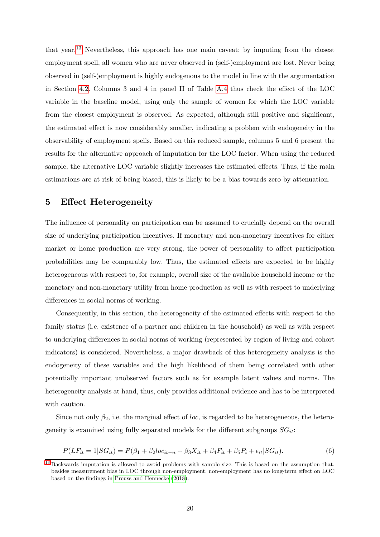<span id="page-20-2"></span>that year.[13](#page-20-1) Nevertheless, this approach has one main caveat: by imputing from the closest employment spell, all women who are never observed in (self-)employment are lost. Never being observed in (self-)employment is highly endogenous to the model in line with the argumentation in Section [4.2.](#page-13-0) Columns 3 and 4 in panel II of Table [A.4](#page-35-0) thus check the effect of the LOC variable in the baseline model, using only the sample of women for which the LOC variable from the closest employment is observed. As expected, although still positive and significant, the estimated effect is now considerably smaller, indicating a problem with endogeneity in the observability of employment spells. Based on this reduced sample, columns 5 and 6 present the results for the alternative approach of imputation for the LOC factor. When using the reduced sample, the alternative LOC variable slightly increases the estimated effects. Thus, if the main estimations are at risk of being biased, this is likely to be a bias towards zero by attenuation.

## <span id="page-20-0"></span>5 Effect Heterogeneity

The influence of personality on participation can be assumed to crucially depend on the overall size of underlying participation incentives. If monetary and non-monetary incentives for either market or home production are very strong, the power of personality to affect participation probabilities may be comparably low. Thus, the estimated effects are expected to be highly heterogeneous with respect to, for example, overall size of the available household income or the monetary and non-monetary utility from home production as well as with respect to underlying differences in social norms of working.

Consequently, in this section, the heterogeneity of the estimated effects with respect to the family status (i.e. existence of a partner and children in the household) as well as with respect to underlying differences in social norms of working (represented by region of living and cohort indicators) is considered. Nevertheless, a major drawback of this heterogeneity analysis is the endogeneity of these variables and the high likelihood of them being correlated with other potentially important unobserved factors such as for example latent values and norms. The heterogeneity analysis at hand, thus, only provides additional evidence and has to be interpreted with caution.

Since not only  $\beta_2$ , i.e. the marginal effect of loc, is regarded to be heterogeneous, the heterogeneity is examined using fully separated models for the different subgroups  $SG_{it}$ :

$$
P(LF_{it} = 1|SG_{it}) = P(\beta_1 + \beta_2 loc_{it-n} + \beta_3 X_{it} + \beta_4 F_{it} + \beta_5 P_i + \epsilon_{it}|SG_{it}).
$$
\n(6)

<span id="page-20-1"></span> $13$  Backwards imputation is allowed to avoid problems with sample size. This is based on the assumption that, besides measurement bias in LOC through non-employment, non-employment has no long-term effect on LOC based on the findings in [Preuss and Hennecke](#page-29-15) [\(2018\)](#page-29-15).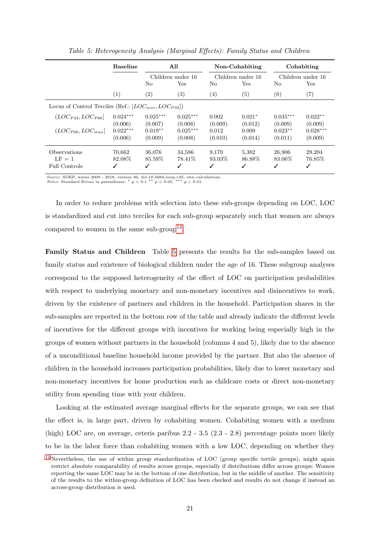<span id="page-21-1"></span>

|                                                             | <b>Baseline</b> | All        |                   |                   | Non-Cohabiting    | Cohabiting |                   |  |
|-------------------------------------------------------------|-----------------|------------|-------------------|-------------------|-------------------|------------|-------------------|--|
|                                                             |                 |            | Children under 16 |                   | Children under 16 |            | Children under 16 |  |
|                                                             |                 | No         | Yes               | No                | Yes               | No         | Yes               |  |
|                                                             | (1)             | (2)        | (3)               | $\left( 4\right)$ | (5)               | (6)        | (7)               |  |
| Locus of Control Terciles (Ref.: $[LOC_{min}, LOC_{P33}]$ ) |                 |            |                   |                   |                   |            |                   |  |
| $(LOC_{P33}, LOC_{P66}]$                                    | $0.024***$      | $0.025***$ | $0.025***$        | 0.002             | $0.021*$          | $0.035***$ | $0.022**$         |  |
|                                                             | (0.006)         | (0.007)    | (0.008)           | (0.009)           | (0.012)           | (0.009)    | (0.009)           |  |
| $(LOC_{P66}, LOC_{max}]$                                    | $0.022***$      | $0.019**$  | $0.025***$        | 0.012             | 0.009             | $0.023**$  | $0.028***$        |  |
|                                                             | (0.006)         | (0.009)    | (0.008)           | (0.010)           | (0.014)           | (0.011)    | (0.009)           |  |
| Observations                                                | 70.662          | 36,076     | 34,586            | 9,170             | 5,382             | 26,906     | 29,204            |  |
| $LF = 1$                                                    | 82.08\%         | 85.59%     | 78.41\%           | 93.03\%           | 86.88%            | 83.06\%    | 76.85%            |  |
| Full Controls                                               | ✓               | ✓          | ✓                 | √                 | ℐ                 | ✓          | ✓                 |  |

Table 5: Heterogeneity Analysis (Marginal Effects): Family Status and Children

Source: SOEP, waves 2000 - 2018, version 36, doi:10.5684/soep.v35, own calculations.<br>Notes: Standard Errors in parentheses. \*  $p < 0.1$  \*\*  $p < 0.05$ , \*\*\*  $p < 0.01$ .  $Notes: Standard Errors in parentheses. * p < 0.1$ 

<span id="page-21-2"></span>In order to reduce problems with selection into these sub-groups depending on LOC, LOC is standardized and cut into terciles for each sub-group separately such that women are always compared to women in the same sub-group<sup>[14](#page-21-0)</sup>.

Family Status and Children Table [5](#page-21-1) presents the results for the sub-samples based on family status and existence of biological children under the age of 16. These subgroup analyses correspond to the supposed heterogeneity of the effect of LOC on participation probabilities with respect to underlying monetary and non-monetary incentives and disincentives to work, driven by the existence of partners and children in the household. Participation shares in the sub-samples are reported in the bottom row of the table and already indicate the different levels of incentives for the different groups with incentives for working being especially high in the groups of women without partners in the household (columns 4 and 5), likely due to the absence of a unconditional baseline household income provided by the partner. But also the absence of children in the household increases participation probabilities, likely due to lower monetary and non-monetary incentives for home production such as childcare costs or direct non-monetary utility from spending time with your children.

Looking at the estimated average marginal effects for the separate groups, we can see that the effect is, in large part, driven by cohabiting women. Cohabiting women with a medium (high) LOC are, on average, ceteris paribus 2.2 - 3.5 (2.3 - 2.8) percentage points more likely to be in the labor force than cohabiting women with a low LOC, depending on whether they

<span id="page-21-0"></span><sup>&</sup>lt;sup>[14](#page-21-2)</sup> Nevertheless, the use of within group standardization of LOC (group specific tertile groups), might again restrict absolute comparability of results across groups, especially if distributions differ across groups: Women reporting the same LOC may be in the bottom of one distribution, but in the middle of another. The sensitivity of the results to the within-group definition of LOC has been checked and results do not change if instead an across-group distribution is used.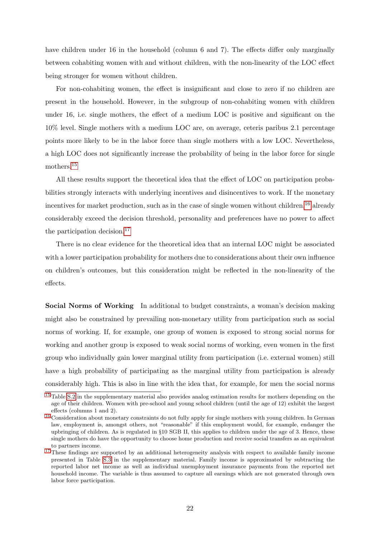have children under 16 in the household (column 6 and 7). The effects differ only marginally between cohabiting women with and without children, with the non-linearity of the LOC effect being stronger for women without children.

For non-cohabiting women, the effect is insignificant and close to zero if no children are present in the household. However, in the subgroup of non-cohabiting women with children under 16, i.e. single mothers, the effect of a medium LOC is positive and significant on the 10% level. Single mothers with a medium LOC are, on average, ceteris paribus 2.1 percentage points more likely to be in the labor force than single mothers with a low LOC. Nevertheless, a high LOC does not significantly increase the probability of being in the labor force for single mothers.[15](#page-22-0)

<span id="page-22-4"></span><span id="page-22-3"></span>All these results support the theoretical idea that the effect of LOC on participation probabilities strongly interacts with underlying incentives and disincentives to work. If the monetary incentives for market production, such as in the case of single women without children,<sup>[16](#page-22-1)</sup> already considerably exceed the decision threshold, personality and preferences have no power to affect the participation decision.<sup>[17](#page-22-2)</sup>

<span id="page-22-5"></span>There is no clear evidence for the theoretical idea that an internal LOC might be associated with a lower participation probability for mothers due to considerations about their own influence on children's outcomes, but this consideration might be reflected in the non-linearity of the effects.

Social Norms of Working In additional to budget constraints, a woman's decision making might also be constrained by prevailing non-monetary utility from participation such as social norms of working. If, for example, one group of women is exposed to strong social norms for working and another group is exposed to weak social norms of working, even women in the first group who individually gain lower marginal utility from participation (i.e. external women) still have a high probability of participating as the marginal utility from participation is already considerably high. This is also in line with the idea that, for example, for men the social norms

<span id="page-22-0"></span><sup>&</sup>lt;sup>[15](#page-22-3)</sup> Table [S.2](#page-38-0) in the supplementary material also provides analog estimation results for mothers depending on the age of their children. Women with pre-school and young school children (until the age of 12) exhibit the largest effects (columns 1 and 2).

<span id="page-22-1"></span><sup>&</sup>lt;sup>[16](#page-22-4)</sup> Consideration about monetary constraints do not fully apply for single mothers with young children. In German law, employment is, amongst others, not "reasonable" if this employment would, for example, endanger the upbringing of children. As is regulated in §10 SGB II, this applies to children under the age of 3. Hence, these single mothers do have the opportunity to choose home production and receive social transfers as an equivalent to partners income.

<span id="page-22-2"></span><sup>&</sup>lt;sup>[17](#page-22-5)</sup> These findings are supported by an additional heterogeneity analysis with respect to available family income presented in Table [S.3](#page-38-1) in the supplementary material. Family income is approximated by subtracting the reported labor net income as well as individual unemployment insurance payments from the reported net household income. The variable is thus assumed to capture all earnings which are not generated through own labor force participation.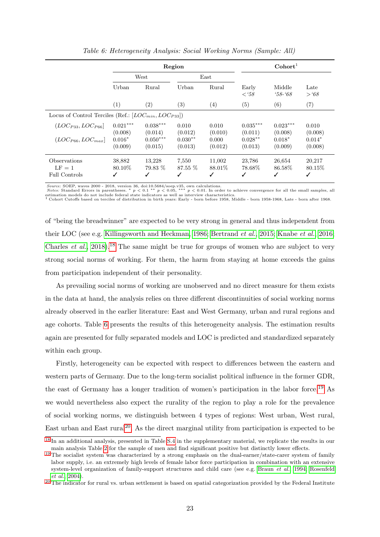<span id="page-23-1"></span>

|                                                             |                        |                        | Region                  | $\text{Cohort}^1$      |                       |                       |                        |
|-------------------------------------------------------------|------------------------|------------------------|-------------------------|------------------------|-----------------------|-----------------------|------------------------|
|                                                             | West<br>Urban<br>Rural |                        | $\text{East}$           |                        |                       |                       |                        |
|                                                             |                        |                        | Urban                   | Rural                  | Early<br>$\lt$ '58    | Middle<br>$58 - 68$   | Late<br>> 68           |
|                                                             | (1)                    | (2)                    | (3)                     | (4)                    | (5)                   | (6)                   | (7)                    |
| Locus of Control Terciles (Ref.: $[LOC_{min}, LOC_{P33}]$ ) |                        |                        |                         |                        |                       |                       |                        |
| $(LOC_{P33}, LOC_{P66}]$                                    | $0.021***$<br>(0.008)  | $0.038***$<br>(0.014)  | 0.010<br>(0.012)        | 0.010<br>(0.010)       | $0.035***$<br>(0.011) | $0.023***$<br>(0.008) | 0.010<br>(0.008)       |
| $(LOC_{P66}, LOC_{max}]$                                    | $0.016*$<br>(0.009)    | $0.050***$<br>(0.015)  | $0.030**$<br>(0.013)    | 0.000<br>(0.012)       | $0.028**$<br>(0.013)  | $0.018*$<br>(0.009)   | $0.014*$<br>(0.008)    |
| Observations<br>$LF = 1$<br><b>Full Controls</b>            | 38,882<br>80.10\%      | 13,228<br>79.83 %<br>✓ | 7,550<br>$87.55\%$<br>✓ | 11,002<br>88.01\%<br>√ | 23,786<br>78.68%      | 26,654<br>86.58%<br>✓ | 20,217<br>80.15\%<br>✓ |

Table 6: Heterogeneity Analysis: Social Working Norms (Sample: All)

Source: SOEP, waves 2000 - 2018, version 36, doi:10.5684/soep.v35, own calculations.<br>Notes: Standard Errors in parentheses. \*  $p < 0.1$  \*\*  $p < 0.05$ , \*\*\*  $p < 0.01$ . In order to achieve convergence for all the small samples

<span id="page-23-4"></span>of "being the breadwinner" are expected to be very strong in general and thus independent from their LOC (see e.g. [Killingsworth and Heckman, 1986;](#page-29-18) [Bertrand](#page-27-3) et al., [2015;](#page-27-3) [Knabe](#page-29-2) et al., [2016;](#page-29-2) [Charles](#page-27-4) *et al.*, [2018\)](#page-27-4).<sup>[18](#page-23-0)</sup> The same might be true for groups of women who are subject to very strong social norms of working. For them, the harm from staying at home exceeds the gains from participation independent of their personality.

As prevailing social norms of working are unobserved and no direct measure for them exists in the data at hand, the analysis relies on three different discontinuities of social working norms already observed in the earlier literature: East and West Germany, urban and rural regions and age cohorts. Table [6](#page-23-1) presents the results of this heterogeneity analysis. The estimation results again are presented for fully separated models and LOC is predicted and standardized separately within each group.

<span id="page-23-5"></span>Firstly, heterogeneity can be expected with respect to differences between the eastern and western parts of Germany. Due to the long-term socialist political influence in the former GDR, the east of Germany has a longer tradition of women's participation in the labor force.[19](#page-23-2) As we would nevertheless also expect the rurality of the region to play a role for the prevalence of social working norms, we distinguish between 4 types of regions: West urban, West rural, East urban and East rural<sup>[20](#page-23-3)</sup>. As the direct marginal utility from participation is expected to be

<span id="page-23-6"></span><span id="page-23-0"></span><sup>&</sup>lt;sup>[18](#page-23-4)</sup> In an additional analysis, presented in Table [S.4](#page-38-2) in the supplementary material, we replicate the results in our main analysis Table [2](#page-13-1) for the sample of men and find significant positive but distinctly lower effects.

<span id="page-23-2"></span><sup>&</sup>lt;sup>[19](#page-23-5)</sup> The socialist system was characterized by a strong emphasis on the dual-earner/state-carer system of family labor supply, i.e. an extremely high levels of female labor force participation in combination with an extensive system-level organization of family-support structures and child care (see e.g. [Braun](#page-27-16) et al., [1994;](#page-27-16) [Rosenfeld](#page-29-19) [et al.](#page-29-19), [2004\)](#page-29-19).

<span id="page-23-3"></span> $20$  The indicator for rural vs. urban settlement is based on spatial categorization provided by the Federal Institute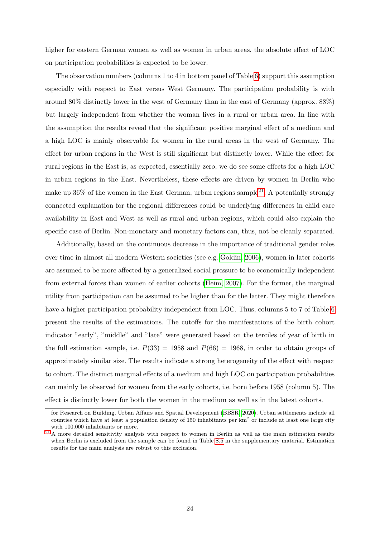higher for eastern German women as well as women in urban areas, the absolute effect of LOC on participation probabilities is expected to be lower.

The observation numbers (columns 1 to 4 in bottom panel of Table [6\)](#page-23-1) support this assumption especially with respect to East versus West Germany. The participation probability is with around 80% distinctly lower in the west of Germany than in the east of Germany (approx. 88%) but largely independent from whether the woman lives in a rural or urban area. In line with the assumption the results reveal that the significant positive marginal effect of a medium and a high LOC is mainly observable for women in the rural areas in the west of Germany. The effect for urban regions in the West is still significant but distinctly lower. While the effect for rural regions in the East is, as expected, essentially zero, we do see some effects for a high LOC in urban regions in the East. Nevertheless, these effects are driven by women in Berlin who make up  $36\%$  of the women in the East German, urban regions sample<sup>[21](#page-24-1)</sup>. A potentially strongly connected explanation for the regional differences could be underlying differences in child care availability in East and West as well as rural and urban regions, which could also explain the specific case of Berlin. Non-monetary and monetary factors can, thus, not be cleanly separated.

<span id="page-24-2"></span>Additionally, based on the continuous decrease in the importance of traditional gender roles over time in almost all modern Western societies (see e.g. [Goldin, 2006\)](#page-28-2), women in later cohorts are assumed to be more affected by a generalized social pressure to be economically independent from external forces than women of earlier cohorts [\(Heim, 2007\)](#page-28-19). For the former, the marginal utility from participation can be assumed to be higher than for the latter. They might therefore have a higher participation probability independent from LOC. Thus, columns 5 to 7 of Table [6](#page-23-1) present the results of the estimations. The cutoffs for the manifestations of the birth cohort indicator "early", "middle" and "late" were generated based on the terciles of year of birth in the full estimation sample, i.e.  $P(33) = 1958$  and  $P(66) = 1968$ , in order to obtain groups of approximately similar size. The results indicate a strong heterogeneity of the effect with respect to cohort. The distinct marginal effects of a medium and high LOC on participation probabilities can mainly be observed for women from the early cohorts, i.e. born before 1958 (column 5). The effect is distinctly lower for both the women in the medium as well as in the latest cohorts.

<span id="page-24-0"></span>for Research on Building, Urban Affairs and Spatial Development [\(BBSR, 2020\)](#page-27-17). Urban settlements include all counties which have at least a population density of 150 inhabitants per  $km^2$  or include at least one large city with 100.000 inhabitants or more.

<span id="page-24-1"></span> $21$  A more detailed sensitivity analysis with respect to women in Berlin as well as the main estimation results when Berlin is excluded from the sample can be found in Table [S.5](#page-39-0) in the supplementary material. Estimation results for the main analysis are robust to this exclusion.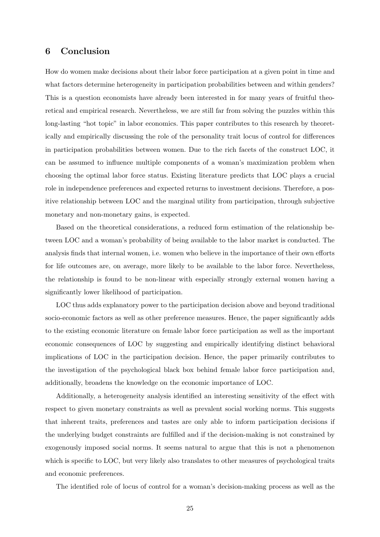## 6 Conclusion

How do women make decisions about their labor force participation at a given point in time and what factors determine heterogeneity in participation probabilities between and within genders? This is a question economists have already been interested in for many years of fruitful theoretical and empirical research. Nevertheless, we are still far from solving the puzzles within this long-lasting "hot topic" in labor economics. This paper contributes to this research by theoretically and empirically discussing the role of the personality trait locus of control for differences in participation probabilities between women. Due to the rich facets of the construct LOC, it can be assumed to influence multiple components of a woman's maximization problem when choosing the optimal labor force status. Existing literature predicts that LOC plays a crucial role in independence preferences and expected returns to investment decisions. Therefore, a positive relationship between LOC and the marginal utility from participation, through subjective monetary and non-monetary gains, is expected.

Based on the theoretical considerations, a reduced form estimation of the relationship between LOC and a woman's probability of being available to the labor market is conducted. The analysis finds that internal women, i.e. women who believe in the importance of their own efforts for life outcomes are, on average, more likely to be available to the labor force. Nevertheless, the relationship is found to be non-linear with especially strongly external women having a significantly lower likelihood of participation.

LOC thus adds explanatory power to the participation decision above and beyond traditional socio-economic factors as well as other preference measures. Hence, the paper significantly adds to the existing economic literature on female labor force participation as well as the important economic consequences of LOC by suggesting and empirically identifying distinct behavioral implications of LOC in the participation decision. Hence, the paper primarily contributes to the investigation of the psychological black box behind female labor force participation and, additionally, broadens the knowledge on the economic importance of LOC.

Additionally, a heterogeneity analysis identified an interesting sensitivity of the effect with respect to given monetary constraints as well as prevalent social working norms. This suggests that inherent traits, preferences and tastes are only able to inform participation decisions if the underlying budget constraints are fulfilled and if the decision-making is not constrained by exogenously imposed social norms. It seems natural to argue that this is not a phenomenon which is specific to LOC, but very likely also translates to other measures of psychological traits and economic preferences.

The identified role of locus of control for a woman's decision-making process as well as the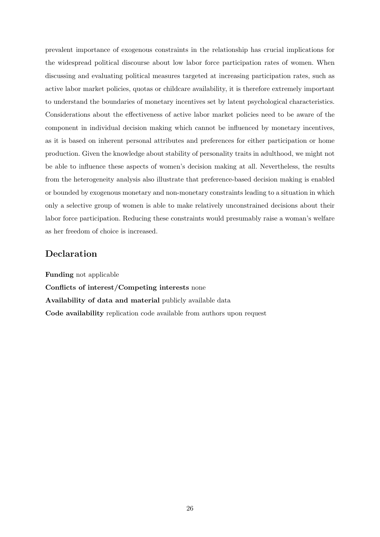prevalent importance of exogenous constraints in the relationship has crucial implications for the widespread political discourse about low labor force participation rates of women. When discussing and evaluating political measures targeted at increasing participation rates, such as active labor market policies, quotas or childcare availability, it is therefore extremely important to understand the boundaries of monetary incentives set by latent psychological characteristics. Considerations about the effectiveness of active labor market policies need to be aware of the component in individual decision making which cannot be influenced by monetary incentives, as it is based on inherent personal attributes and preferences for either participation or home production. Given the knowledge about stability of personality traits in adulthood, we might not be able to influence these aspects of women's decision making at all. Nevertheless, the results from the heterogeneity analysis also illustrate that preference-based decision making is enabled or bounded by exogenous monetary and non-monetary constraints leading to a situation in which only a selective group of women is able to make relatively unconstrained decisions about their labor force participation. Reducing these constraints would presumably raise a woman's welfare as her freedom of choice is increased.

## Declaration

Funding not applicable Conflicts of interest/Competing interests none Availability of data and material publicly available data Code availability replication code available from authors upon request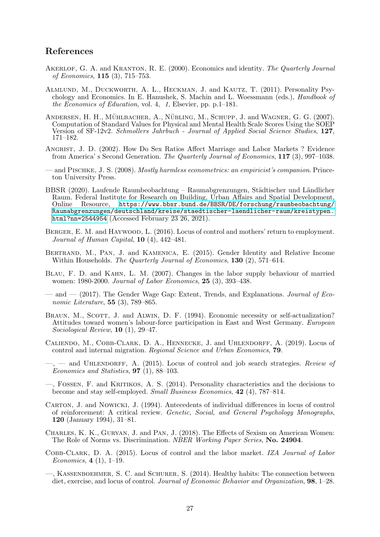## References

- <span id="page-27-11"></span>AKERLOF, G. A. and KRANTON, R. E. (2000). Economics and identity. The Quarterly Journal of Economics, 115 (3), 715–753.
- <span id="page-27-10"></span>Almlund, M., Duckworth, A. L., Heckman, J. and Kautz, T. (2011). Personality Psychology and Economics. In E. Hanushek, S. Machin and L. Woessmann (eds.), Handbook of the Economics of Education, vol. 4, 1, Elsevier, pp. p.1–181.
- <span id="page-27-13"></span>ANDERSEN, H. H., MÜHLBACHER, A., NÜBLING, M., SCHUPP, J. and WAGNER, G. G. (2007). Computation of Standard Values for Physical and Mental Health Scale Scores Using the SOEP Version of SF-12v2. Schmollers Jahrbuch - Journal of Applied Social Science Studies, 127, 171–182.
- <span id="page-27-0"></span>Angrist, J. D. (2002). How Do Sex Ratios Affect Marriage and Labor Markets ? Evidence from America' s Second Generation. The Quarterly Journal of Economics, 117 (3), 997–1038.
- <span id="page-27-15"></span>— and Pischke, J. S. (2008). Mostly harmless econometrics: an empiricist's companion. Princeton University Press.
- <span id="page-27-17"></span>BBSR (2020). Laufende Raumbeobachtung – Raumabgrenzungen, Städtischer und Ländlicher Raum. Federal Institute for Research on Building, Urban Affairs and Spatial Development, Online Resource, [https://www.bbsr.bund.de/BBSR/DE/forschung/raumbeobachtung/](https://www.bbsr.bund.de/BBSR/DE/forschung/raumbeobachtung/Raumabgrenzungen/deutschland/kreise/staedtischer-laendlicher-raum/kreistypen.html?nn=2544954 ) [Raumabgrenzungen/deutschland/kreise/staedtischer-laendlicher-raum/kreistypen.](https://www.bbsr.bund.de/BBSR/DE/forschung/raumbeobachtung/Raumabgrenzungen/deutschland/kreise/staedtischer-laendlicher-raum/kreistypen.html?nn=2544954 ) [html?nn=2544954](https://www.bbsr.bund.de/BBSR/DE/forschung/raumbeobachtung/Raumabgrenzungen/deutschland/kreise/staedtischer-laendlicher-raum/kreistypen.html?nn=2544954 ) (Accessed February 23 26, 2021).
- <span id="page-27-8"></span>BERGER, E. M. and HAYWOOD, L. (2016). Locus of control and mothers' return to employment. Journal of Human Capital,  $10(4)$ ,  $442-481$ .
- <span id="page-27-3"></span>Bertrand, M., Pan, J. and Kamenica, E. (2015). Gender Identity and Relative Income Within Households. The Quarterly Journal of Economics, 130 (2), 571-614.
- <span id="page-27-1"></span>Blau, F. D. and Kahn, L. M. (2007). Changes in the labor supply behaviour of married women: 1980-2000. Journal of Labor Economics, 25 (3), 393–438.
- <span id="page-27-2"></span>— and — (2017). The Gender Wage Gap: Extent, Trends, and Explanations. *Journal of Eco*nomic Literature, **55** (3), 789–865.
- <span id="page-27-16"></span>BRAUN, M., SCOTT, J. and ALWIN, D. F. (1994). Economic necessity or self-actualization? Attitudes toward women's labour-force participation in East and West Germany. European Sociological Review, 10 (1), 29–47.
- <span id="page-27-7"></span>CALIENDO, M., COBB-CLARK, D. A., HENNECKE, J. and UHLENDORFF, A. (2019). Locus of control and internal migration. Regional Science and Urban Economics, 79.
- <span id="page-27-5"></span> $-$ ,  $-$  and UHLENDORFF, A. (2015). Locus of control and job search strategies. Review of Economics and Statistics, 97 (1), 88–103.
- <span id="page-27-6"></span>—, Fossen, F. and Kritikos, A. S. (2014). Personality characteristics and the decisions to become and stay self-employed. Small Business Economics, 42 (4), 787–814.
- <span id="page-27-14"></span>Carton, J. and Nowicki, J. (1994). Antecedents of individual differences in locus of control of reinforcement: A critical review. Genetic, Social, and General Psychology Monographs, 120 (January 1994), 31–81.
- <span id="page-27-4"></span>Charles, K. K., Guryan, J. and Pan, J. (2018). The Effects of Sexism on American Women: The Role of Norms vs. Discrimination. NBER Working Paper Series, No. 24904.
- <span id="page-27-9"></span>Cobb-Clark, D. A. (2015). Locus of control and the labor market. IZA Journal of Labor Economics, 4 (1), 1–19.
- <span id="page-27-12"></span>—, Kassenboehmer, S. C. and Schurer, S. (2014). Healthy habits: The connection between diet, exercise, and locus of control. Journal of Economic Behavior and Organization, **98**, 1–28.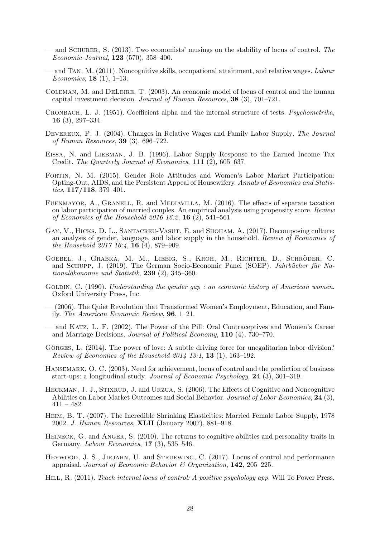- <span id="page-28-18"></span>— and SCHURER, S.  $(2013)$ . Two economists' musings on the stability of locus of control. The Economic Journal, 123 (570), 358–400.
- <span id="page-28-6"></span>— and Tan, M. (2011). Noncognitive skills, occupational attainment, and relative wages. Labour Economics, 18 (1), 1–13.
- <span id="page-28-5"></span>Coleman, M. and DeLeire, T. (2003). An economic model of locus of control and the human capital investment decision. Journal of Human Resources, 38 (3), 701–721.
- <span id="page-28-17"></span>Cronbach, L. J. (1951). Coefficient alpha and the internal structure of tests. Psychometrika, 16 (3), 297–334.
- <span id="page-28-12"></span>DEVEREUX, P. J. (2004). Changes in Relative Wages and Family Labor Supply. The Journal of Human Resources, 39 (3), 696–722.
- <span id="page-28-11"></span>Eissa, N. and Liebman, J. B. (1996). Labor Supply Response to the Earned Income Tax Credit. The Quarterly Journal of Economics, 111 (2), 605–637.
- <span id="page-28-3"></span>Fortin, N. M. (2015). Gender Role Attitudes and Women's Labor Market Participation: Opting-Out, AIDS, and the Persistent Appeal of Housewifery. Annals of Economics and Statistics,  $117/118$ , 379-401.
- <span id="page-28-10"></span>Fuenmayor, A., Granell, R. and Mediavilla, M. (2016). The effects of separate taxation on labor participation of married couples. An empirical analysis using propensity score. Review of Economics of the Household 2016 16:2,  $16$  (2), 541-561.
- <span id="page-28-4"></span>GAY, V., HICKS, D. L., SANTACREU-VASUT, E. and SHOHAM, A. (2017). Decomposing culture: an analysis of gender, language, and labor supply in the household. Review of Economics of the Household 2017 16:4, 16 (4), 879–909.
- <span id="page-28-16"></span>GOEBEL, J., GRABKA, M. M., LIEBIG, S., KROH, M., RICHTER, D., SCHRÖDER, C. and SCHUPP, J. (2019). The German Socio-Economic Panel (SOEP). *Jahrbücher für Na*tionalökonomie und Statistik, 239  $(2)$ , 345–360.
- <span id="page-28-0"></span>GOLDIN, C. (1990). Understanding the gender gap : an economic history of American women. Oxford University Press, Inc.
- <span id="page-28-2"></span>— (2006). The Quiet Revolution that Transformed Women's Employment, Education, and Family. The American Economic Review, 96, 1–21.
- <span id="page-28-1"></span>— and Katz, L. F. (2002). The Power of the Pill: Oral Contraceptives and Women's Career and Marriage Decisions. Journal of Political Economy, 110 (4), 730–770.
- <span id="page-28-13"></span>GÖRGES, L. (2014). The power of love: A subtle driving force for unegalitarian labor division? *Review of Economics of the Household 2014 13:1,* **13** (1), 163-192.
- <span id="page-28-8"></span>HANSEMARK, O. C. (2003). Need for achievement, locus of control and the prediction of business start-ups: a longitudinal study. Journal of Economic Psychology, 24 (3), 301–319.
- <span id="page-28-9"></span>HECKMAN, J. J., STIXRUD, J. and URZUA, S. (2006). The Effects of Cognitive and Noncognitive Abilities on Labor Market Outcomes and Social Behavior. Journal of Labor Economics, 24 (3),  $411 - 482.$
- <span id="page-28-19"></span>Heim, B. T. (2007). The Incredible Shrinking Elasticities: Married Female Labor Supply, 1978 2002. J. Human Resources, XLII (January 2007), 881–918.
- <span id="page-28-15"></span>HEINECK, G. and ANGER, S. (2010). The returns to cognitive abilities and personality traits in Germany. Labour Economics, 17 (3), 535–546.
- <span id="page-28-7"></span>HEYWOOD, J. S., JIRJAHN, U. and STRUEWING, C. (2017). Locus of control and performance appraisal. Journal of Economic Behavior  $\mathcal C$  Organization, 142, 205–225.
- <span id="page-28-14"></span>HILL, R. (2011). Teach internal locus of control: A positive psychology app. Will To Power Press.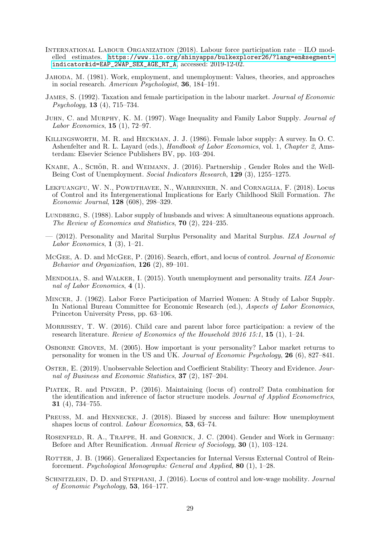- <span id="page-29-8"></span>International Labour Organization (2018). Labour force participation rate – ILO modelled estimates. [https://www.ilo.org/shinyapps/bulkexplorer26/?lang=en&segment=](https://www.ilo.org/shinyapps/bulkexplorer26/?lang=en&segment=indicator&id=EAP_2WAP_SEX_AGE_RT_A) [indicator&id=EAP\\_2WAP\\_SEX\\_AGE\\_RT\\_A](https://www.ilo.org/shinyapps/bulkexplorer26/?lang=en&segment=indicator&id=EAP_2WAP_SEX_AGE_RT_A), accessed: 2019-12-02.
- <span id="page-29-12"></span>Jahoda, M. (1981). Work, employment, and unemployment: Values, theories, and approaches in social research. American Psychologist, 36, 184–191.
- <span id="page-29-9"></span>James, S. (1992). Taxation and female participation in the labour market. Journal of Economic Psychology, 13 (4), 715–734.
- <span id="page-29-1"></span>Juhn, C. and Murphy, K. M. (1997). Wage Inequality and Family Labor Supply. Journal of Labor Economics, 15 (1), 72–97.
- <span id="page-29-18"></span>Killingsworth, M. R. and Heckman, J. J. (1986). Female labor supply: A survey. In O. C. Ashenfelter and R. L. Layard (eds.), *Handbook of Labor Economics*, vol. 1, *Chapter 2*, Amsterdam: Elsevier Science Publishers BV, pp. 103–204.
- <span id="page-29-2"></span>KNABE, A., SCHÖB, R. and WEIMANN, J. (2016). Partnership , Gender Roles and the Well-Being Cost of Unemployment. Social Indicators Research, 129 (3), 1255–1275.
- <span id="page-29-13"></span>Lekfuangfu, W. N., Powdthavee, N., Warrinnier, N. and Cornaglia, F. (2018). Locus of Control and its Intergenerational Implications for Early Childhood Skill Formation. The Economic Journal, 128 (608), 298–329.
- <span id="page-29-11"></span>LUNDBERG, S. (1988). Labor supply of husbands and wives: A simultaneous equations approach. The Review of Economics and Statistics, 70 (2), 224–235.
- <span id="page-29-14"></span>— (2012). Personality and Marital Surplus Personality and Marital Surplus. IZA Journal of Labor Economics,  $1(3)$ , 1–21.
- <span id="page-29-5"></span>McGee, A. D. and McGee, P. (2016). Search, effort, and locus of control. Journal of Economic Behavior and Organization,  $126$  (2), 89-101.
- <span id="page-29-4"></span>MENDOLIA, S. and WALKER, I. (2015). Youth unemployment and personality traits. IZA Journal of Labor Economics, 4 (1).
- <span id="page-29-0"></span>Mincer, J. (1962). Labor Force Participation of Married Women: A Study of Labor Supply. In National Bureau Committee for Economic Research (ed.), Aspects of Labor Economics, Princeton University Press, pp. 63–106.
- <span id="page-29-10"></span>MORRISSEY, T. W. (2016). Child care and parent labor force participation: a review of the research literature. Review of Economics of the Household 2016 15:1, 15 (1),  $1-24$ .
- <span id="page-29-6"></span>Osborne Groves, M. (2005). How important is your personality? Labor market returns to personality for women in the US and UK. Journal of Economic Psychology, 26 (6), 827–841.
- <span id="page-29-17"></span>Oster, E. (2019). Unobservable Selection and Coefficient Stability: Theory and Evidence. Journal of Business and Economic Statistics, 37 (2), 187–204.
- <span id="page-29-16"></span>Piatek, R. and Pinger, P. (2016). Maintaining (locus of) control? Data combination for the identification and inference of factor structure models. Journal of Applied Econometrics, 31 (4), 734–755.
- <span id="page-29-15"></span>PREUSS, M. and HENNECKE, J. (2018). Biased by success and failure: How unemployment shapes locus of control. Labour Economics, 53, 63–74.
- <span id="page-29-19"></span>Rosenfeld, R. A., Trappe, H. and Gornick, J. C. (2004). Gender and Work in Germany: Before and After Reunification. Annual Review of Sociology, 30 (1), 103–124.
- <span id="page-29-3"></span>ROTTER, J. B. (1966). Generalized Expectancies for Internal Versus External Control of Reinforcement. Psychological Monographs: General and Applied, 80 (1), 1–28.
- <span id="page-29-7"></span>SCHNITZLEIN, D. D. and STEPHANI, J. (2016). Locus of control and low-wage mobility. Journal of Economic Psychology, 53, 164–177.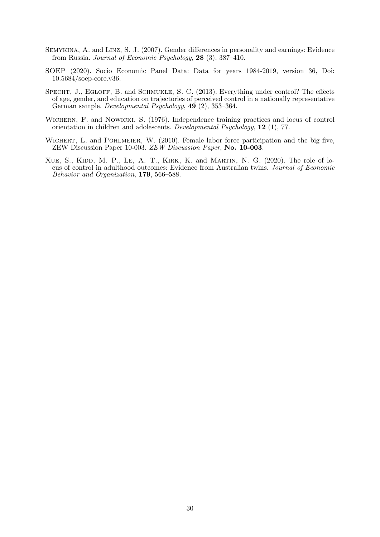- <span id="page-30-1"></span>Semykina, A. and Linz, S. J. (2007). Gender differences in personality and earnings: Evidence from Russia. Journal of Economic Psychology, 28 (3), 387–410.
- <span id="page-30-3"></span>SOEP (2020). Socio Economic Panel Data: Data for years 1984-2019, version 36, Doi: 10.5684/soep-core.v36.
- <span id="page-30-5"></span>SPECHT, J., EGLOFF, B. and SCHMUKLE, S. C. (2013). Everything under control? The effects of age, gender, and education on trajectories of perceived control in a nationally representative German sample. Developmental Psychology, 49 (2), 353–364.
- <span id="page-30-4"></span>WICHERN, F. and NOWICKI, S. (1976). Independence training practices and locus of control orientation in children and adolescents. Developmental Psychology, 12 (1), 77.
- <span id="page-30-0"></span>WICHERT, L. and POHLMEIER, W. (2010). Female labor force participation and the big five, ZEW Discussion Paper 10-003. ZEW Discussion Paper, No. 10-003.
- <span id="page-30-2"></span>XUE, S., KIDD, M. P., LE, A. T., KIRK, K. and MARTIN, N. G. (2020). The role of locus of control in adulthood outcomes: Evidence from Australian twins. Journal of Economic Behavior and Organization, 179, 566–588.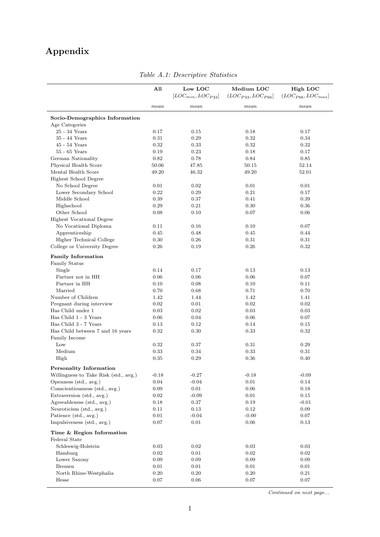## Appendix

<span id="page-31-0"></span>

|                                       | All      | Low LOC<br>$[LOC_{min}, LOC_{P33}]$ | Medium LOC<br>$(LOC_{P33}, LOC_{P66}]$ | High LOC<br>$(LOC_{P66}, LOC_{max}]$ |
|---------------------------------------|----------|-------------------------------------|----------------------------------------|--------------------------------------|
|                                       | mean     | mean                                | mean                                   | mean                                 |
| Socio-Demographics Information        |          |                                     |                                        |                                      |
| Age Categories                        |          |                                     |                                        |                                      |
| 25 - 34 Years                         | 0.17     | 0.15                                | 0.18                                   | 0.17                                 |
| 35 - 44 Years                         | $0.31\,$ | 0.29                                | 0.32                                   | 0.34                                 |
| $45 - 54$ Years                       | 0.32     | 0.33                                | 0.32                                   | 0.32                                 |
| $55 - 65$ Years                       | 0.19     | 0.23                                | 0.18                                   | 0.17                                 |
| German Nationality                    | 0.82     | 0.78                                | 0.84                                   | 0.85                                 |
| Physical Health Score                 | 50.06    | 47.85                               | 50.15                                  | 52.14                                |
| Mental Health Score                   | 49.20    | 46.32                               | 49.20                                  | 52.01                                |
| Highest School Degree                 |          |                                     |                                        |                                      |
| No School Degree                      | 0.01     | 0.02                                | 0.01                                   | 0.01                                 |
| Lower Secondary School                | 0.22     | 0.29                                | 0.21                                   | 0.17                                 |
| Middle School                         | 0.39     | 0.37                                | 0.41                                   | 0.39                                 |
| Highschool                            | 0.29     | 0.21                                | 0.30                                   | 0.36                                 |
| Other School                          | 0.08     | 0.10                                | 0.07                                   | 0.06                                 |
| <b>Highest Vocational Degree</b>      |          |                                     |                                        |                                      |
| No Vocational Diploma                 | 0.11     | 0.16                                | 0.10                                   | 0.07                                 |
| Apprenticeship                        | 0.45     | 0.48                                | 0.45                                   | 0.44                                 |
| Higher Technical College              | 0.30     | 0.26                                | 0.31                                   | 0.31                                 |
| College or University Degree          | 0.26     | 0.19                                | 0.26                                   | 0.32                                 |
|                                       |          |                                     |                                        |                                      |
| <b>Family Information</b>             |          |                                     |                                        |                                      |
| Family Status                         |          |                                     |                                        |                                      |
| Single                                | 0.14     | 0.17                                | 0.13                                   | 0.13                                 |
| Partner not in HH                     | 0.06     | 0.06                                | 0.06                                   | 0.07                                 |
| Partner in HH                         | 0.10     | 0.08                                | 0.10                                   | 0.11                                 |
| Married                               | 0.70     | 0.68                                | 0.71                                   | 0.70                                 |
| Number of Children                    | 1.42     | 1.44                                | 1.42                                   | 1.41                                 |
| Pregnant during interview             | 0.02     | 0.01                                | $\rm 0.02$                             | 0.02                                 |
| Has Child under 1                     | 0.03     | 0.02                                | 0.03                                   | 0.03                                 |
| Has Child 1 - 3 Years                 | 0.06     | 0.04                                | 0.06                                   | 0.07                                 |
| Has Child 3 - 7 Years                 | 0.13     | 0.12                                | 0.14                                   | 0.15                                 |
| Has Child between 7 and 16 years      | 0.32     | 0.30                                | 0.33                                   | 0.32                                 |
| Family Income                         |          |                                     |                                        |                                      |
| Low                                   | 0.32     | 0.37                                | 0.31                                   | 0.29                                 |
| Medium                                | 0.33     | 0.34                                | 0.33                                   | 0.31                                 |
| High                                  | 0.35     | 0.29                                | 0.36                                   | 0.40                                 |
| <b>Personality Information</b>        |          |                                     |                                        |                                      |
| Willingness to Take Risk (std., avg.) | $-0.18$  | $-0.27$                             | $-0.18$                                | $-0.09$                              |
| Openness (std., avg.)                 | 0.04     | $-0.04$                             | 0.01                                   | 0.14                                 |
| Conscientiousness (std., avg.)        | 0.09     | 0.01                                | 0.06                                   | 0.18                                 |
| Extraversion (std., avg.)             | 0.02     | $-0.09$                             | 0.01                                   | 0.15                                 |
| Agreeableness (std., avg.)            | 0.18     | 0.37                                | 0.19                                   | $-0.01$                              |
| Neuroticism (std., avg.)              | 0.11     | 0.13                                | $0.12\,$                               | 0.09                                 |
| Patience (std., avg.)                 | $0.01\,$ | $-0.04$                             | $-0.00$                                | 0.07                                 |
| Impulsiveness (std., avg.)            | 0.07     | 0.01                                | 0.06                                   | 0.13                                 |
|                                       |          |                                     |                                        |                                      |
| Time & Region Information             |          |                                     |                                        |                                      |
| Federal State                         |          |                                     |                                        |                                      |
| Schleswig-Holstein                    | 0.03     | 0.02                                | $\rm 0.03$                             | 0.03                                 |
| Hamburg                               | 0.02     | 0.01                                | 0.02                                   | 0.02                                 |
| Lower Saxony                          | $0.09\,$ | 0.09                                | 0.09                                   | 0.09                                 |
| <b>Bremen</b>                         | 0.01     | 0.01                                | 0.01                                   | 0.01                                 |
| North Rhine-Westphalia                | 0.20     | 0.20                                | $0.20\,$                               | 0.21                                 |
| Hesse                                 | 0.07     | 0.06                                | 0.07                                   | 0.07                                 |

Table A.1: Descriptive Statistics

Continued on next page...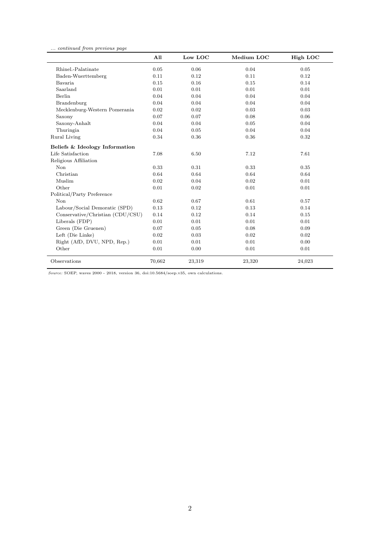... continued from previous page

|                                  | All    | Low LOC | Medium LOC | High LOC |
|----------------------------------|--------|---------|------------|----------|
| Rhinel.-Palatinate               | 0.05   | 0.06    | 0.04       | 0.05     |
| Baden-Wuerttemberg               | 0.11   | 0.12    | 0.11       | 0.12     |
| Bavaria                          | 0.15   | 0.16    | 0.15       | 0.14     |
| Saarland                         | 0.01   | 0.01    | 0.01       | 0.01     |
| Berlin                           | 0.04   | 0.04    | 0.04       | 0.04     |
| Brandenburg                      | 0.04   | 0.04    | 0.04       | 0.04     |
| Mecklenburg-Western Pomerania    | 0.02   | 0.02    | 0.03       | 0.03     |
| Saxony                           | 0.07   | 0.07    | 0.08       | 0.06     |
| Saxony-Anhalt                    | 0.04   | 0.04    | 0.05       | 0.04     |
| Thuringia                        | 0.04   | 0.05    | 0.04       | 0.04     |
| Rural Living                     | 0.34   | 0.36    | 0.36       | 0.32     |
| Beliefs & Ideology Information   |        |         |            |          |
| Life Satisfaction                | 7.08   | 6.50    | 7.12       | 7.61     |
| Religious Affiliation            |        |         |            |          |
| Non                              | 0.33   | 0.31    | 0.33       | 0.35     |
| Christian                        | 0.64   | 0.64    | 0.64       | 0.64     |
| Muslim                           | 0.02   | 0.04    | 0.02       | 0.01     |
| Other                            | 0.01   | 0.02    | 0.01       | 0.01     |
| Political/Party Preference       |        |         |            |          |
| Non                              | 0.62   | 0.67    | 0.61       | 0.57     |
| Labour/Social Demoratic (SPD)    | 0.13   | 0.12    | 0.13       | 0.14     |
| Conservative/Christian (CDU/CSU) | 0.14   | 0.12    | 0.14       | 0.15     |
| Liberals (FDP)                   | 0.01   | 0.01    | 0.01       | 0.01     |
| Green (Die Gruenen)              | 0.07   | 0.05    | 0.08       | 0.09     |
| Left (Die Linke)                 | 0.02   | 0.03    | 0.02       | 0.02     |
| Right (AfD, DVU, NPD, Rep.)      | 0.01   | 0.01    | 0.01       | 0.00     |
| Other                            | 0.01   | 0.00    | 0.01       | 0.01     |
| Observations                     | 70,662 | 23,319  | 23,320     | 24,023   |

 $Source: SOEP,$  waves  $2000$  -  $2018,$  version  $36,$   $\mathrm{doi:}10.5684/\mathrm{see} \mathrm{p.v35},$  own calculations.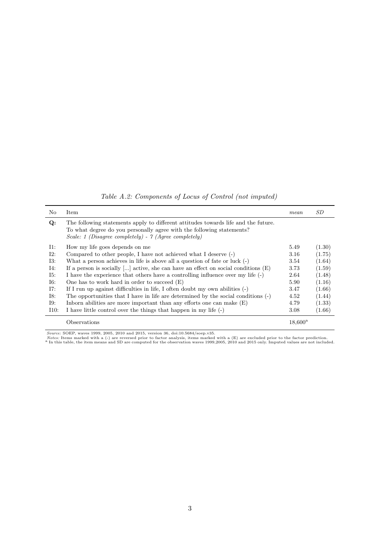Table A.2: Components of Locus of Control (not imputed)

<span id="page-33-0"></span>

| No     | Item                                                                                                                                                                                                                 | mean             | SD.    |
|--------|----------------------------------------------------------------------------------------------------------------------------------------------------------------------------------------------------------------------|------------------|--------|
| Q:     | The following statements apply to different attitudes towards life and the future.<br>To what degree do you personally agree with the following statements?<br>Scale: 1 (Disagree completely) - 7 (Agree completely) |                  |        |
| $I1$ : | How my life goes depends on me                                                                                                                                                                                       | 5.49             | (1.30) |
| 12:    | Compared to other people, I have not achieved what I deserve (-)                                                                                                                                                     | 3.16             | (1.75) |
| I3:    | What a person achieves in life is above all a question of fate or luck $(-)$                                                                                                                                         | 3.54             | (1.64) |
| I4:    | If a person is socially [] active, she can have an effect on social conditions $(E)$                                                                                                                                 | 3.73             | (1.59) |
| I5:    | I have the experience that others have a controlling influence over my life $(\text{-})$                                                                                                                             | 2.64             | (1.48) |
| I6:    | One has to work hard in order to succeed $(E)$                                                                                                                                                                       | 5.90             | (1.16) |
| I7:    | If I run up against difficulties in life, I often doubt my own abilities (-)                                                                                                                                         | 3.47             | (1.66) |
| I8:    | The opportunities that I have in life are determined by the social conditions (-)                                                                                                                                    | 4.52             | (1.44) |
| I9:    | Inform abilities are more important than any efforts one can make $(E)$                                                                                                                                              | 4.79             | (1.33) |
| I10:   | I have little control over the things that happen in my life (-)                                                                                                                                                     | 3.08             | (1.66) |
|        | Observations                                                                                                                                                                                                         | $18,600^{\rm a}$ |        |

Source: SOEP, waves 1999, 2005, 2010 and 2015, version 36, doi:10.5684/soep.v35.<br>Notes: Items marked with a (-) are reversed prior to factor analysis, items marked with a (E) are excluded prior to the factor prediction.<br><sup></sup>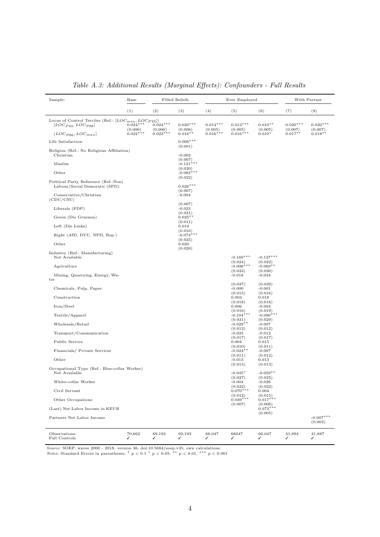<span id="page-34-0"></span>

| Sample:                                                                                 | Base                  |                       | <b>Filled Beliefs</b>           |                       | Ever Employed                     |                                   | With Partner          |                        |
|-----------------------------------------------------------------------------------------|-----------------------|-----------------------|---------------------------------|-----------------------|-----------------------------------|-----------------------------------|-----------------------|------------------------|
|                                                                                         | (1)                   | (2)                   | (3)                             | (4)                   | (5)                               | (6)                               | (7)                   | (8)                    |
| Locus of Control Terciles (Ref.: $[LOC_{min}, LOC_{P33}]$ )<br>$[LOC_{P33}, LOC_{P66}]$ | $0.024***$<br>(0.006) | $0.024***$<br>(0.006) | $0.020***$<br>(0.006)           | $0.014***$<br>(0.005) | $0.013***$<br>(0.005)             | $0.010**$<br>(0.005)              | $0.020***$<br>(0.007) | $0.020***$<br>(0.007)  |
| $(LOC_{P66}, LOC_{max}]$                                                                | $0.022***$            | $0.022***$            | $0.016**$                       | $0.016***$            | $0.016***$                        | $0.010*$                          | $0.017**$             | $0.018**$              |
| Life Satisfaction                                                                       |                       |                       | $0.006***$<br>(0.001)           |                       |                                   |                                   |                       |                        |
| Religion (Ref.: No Religious Affiliation)<br>Christian                                  |                       |                       | $-0.002$<br>(0.007)             |                       |                                   |                                   |                       |                        |
| Muslim                                                                                  |                       |                       | $-0.121$ *<br>**<br>(0.020)     |                       |                                   |                                   |                       |                        |
| Other                                                                                   |                       |                       | $-0.083***$<br>(0.022)          |                       |                                   |                                   |                       |                        |
| Political Party Reference (Ref.:Non)<br>Labour/Social Demoratic (SPD)                   |                       |                       | $0.026***$<br>(0.007)           |                       |                                   |                                   |                       |                        |
| Conservative/Christian<br>(CDU/CSU)                                                     |                       |                       | $-0.004$                        |                       |                                   |                                   |                       |                        |
| Liberals (FDP)                                                                          |                       |                       | (0.007)<br>$-0.023$<br>(0.021)  |                       |                                   |                                   |                       |                        |
| Green (Die Gruenen)                                                                     |                       |                       | $0.025**$<br>(0.011)            |                       |                                   |                                   |                       |                        |
| Left (Die Linke)                                                                        |                       |                       | 0.019<br>(0.016)                |                       |                                   |                                   |                       |                        |
| Right (AfD, DVU, NPD, Rep.)<br>Other                                                    |                       |                       | $-0.074***$<br>(0.025)<br>0.020 |                       |                                   |                                   |                       |                        |
|                                                                                         |                       |                       | (0.020)                         |                       |                                   |                                   |                       |                        |
| Industry (Ref.: Manufacturing)<br>Not Available                                         |                       |                       |                                 |                       | $-0.160***$<br>(0.024)            | $-0.127***$<br>(0.022)            |                       |                        |
| Agriculture                                                                             |                       |                       |                                 |                       | $-0.096***$<br>(0.033)            | $-0.069**$<br>(0.030)             |                       |                        |
| Mining, Quarrying, Energy, Wa-<br>ter                                                   |                       |                       |                                 |                       | $-0.018$                          | $-0.034$                          |                       |                        |
| Chemicals, Pulp, Paper                                                                  |                       |                       |                                 |                       | (0.037)<br>$-0.000$               | (0.039)<br>$-0.001$               |                       |                        |
| Construction                                                                            |                       |                       |                                 |                       | (0.015)<br>0.003                  | (0.016)<br>0.018                  |                       |                        |
| Iron/Steel                                                                              |                       |                       |                                 |                       | (0.018)<br>0.006                  | (0.018)<br>$-0.004$               |                       |                        |
| Textile/Apparel                                                                         |                       |                       |                                 |                       | (0.016)<br>$-0.104***$<br>(0.031) | (0.019)<br>$-0.090***$<br>(0.029) |                       |                        |
| Wholesale/Retail                                                                        |                       |                       |                                 |                       | $-0.029**$<br>(0.012)             | $-0.007$<br>(0.012)               |                       |                        |
| Transport/Communication                                                                 |                       |                       |                                 |                       | $-0.025$<br>(0.017)               | $-0.012$<br>(0.017)               |                       |                        |
| Public Service                                                                          |                       |                       |                                 |                       | 0.004<br>(0.010)                  | 0.015<br>(0.011)                  |                       |                        |
| Financials/ Private Services                                                            |                       |                       |                                 |                       | $-0.024$ **<br>(0.011)            | $-0.007$<br>(0.012)               |                       |                        |
| Other                                                                                   |                       |                       |                                 |                       | $-0.013$<br>(0.013)               | 0.013<br>(0.013)                  |                       |                        |
| Occupational Type (Ref.: Blue-collar Worker)<br>Not Available                           |                       |                       |                                 |                       | $-0.045*$                         | $-0.059**$                        |                       |                        |
| White-collar Worker                                                                     |                       |                       |                                 |                       | (0.027)<br>$-0.004$               | (0.025)<br>$-0.026$               |                       |                        |
| Civil Servant                                                                           |                       |                       |                                 |                       | (0.022)<br>$0.070***$             | (0.022)<br>0.004                  |                       |                        |
| Other Occupations                                                                       |                       |                       |                                 |                       | (0.012)<br>$0.039***$<br>(0.007)  | (0.015)<br>$0.017***$             |                       |                        |
| (Last) Net Labor Income in KEUR                                                         |                       |                       |                                 |                       |                                   | (0.006)<br>$0.073***$             |                       |                        |
| Partners Net Labor Income                                                               |                       |                       |                                 |                       |                                   | (0.005)                           |                       | $-0.007***$<br>(0.003) |
| Observations<br>Full Controls                                                           | 70,662<br>✓           | 69,193<br>✓           | 69,193<br>✓                     | 66,047<br>✓           | 66047<br>✓                        | 66,047<br>✓                       | 41,894<br>✓           | 41,887<br>✓            |

Table A.3: Additional Results (Marginal Effects): Confounders - Full Results

Source: SOEP, waves 2000 - 2018, version 36, doi:10.5684/soep.v35, own calculations.<br>Notes: Standard Errors in parentheses. <sup>†</sup>  $p < 0.1$  \*  $p < 0.05$ , \*\*  $p < 0.01$ , \*\*\*  $p < 0.001$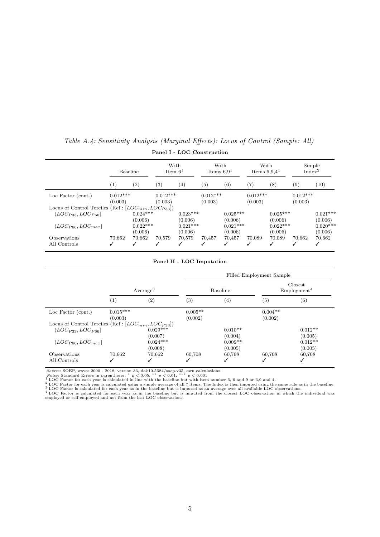|                                                             | Baseline              |                       | With<br>Item $61$     |                       | With<br>Items $6.91$  |                       | With<br>Items $6.9.41$ |                       | Simple<br>Index <sup>2</sup> |                       |
|-------------------------------------------------------------|-----------------------|-----------------------|-----------------------|-----------------------|-----------------------|-----------------------|------------------------|-----------------------|------------------------------|-----------------------|
|                                                             | (1)                   | $\left( 2\right)$     | $^{(3)}$              | $\left( 4\right)$     | $\left( 5\right)$     | (6)                   | $\left( 7\right)$      | (8)                   | (9)                          | (10)                  |
| Loc Factor (cont.)                                          | $0.012***$<br>(0.003) |                       | $0.012***$<br>(0.003) |                       | $0.012***$<br>(0.003) |                       | $0.012***$<br>(0.003)  |                       | $0.012***$<br>(0.003)        |                       |
| Locus of Control Terciles (Ref.: $[LOC_{min}, LOC_{P33}]$ ) |                       |                       |                       |                       |                       |                       |                        |                       |                              |                       |
| $(LOC_{P33}, LOC_{P66}]$                                    |                       | $0.024***$<br>(0.006) |                       | $0.023***$<br>(0.006) |                       | $0.025***$<br>(0.006) |                        | $0.025***$<br>(0.006) |                              | $0.021***$<br>(0.006) |
| $(LOC_{P66}, LOC_{max})$                                    |                       | $0.022***$<br>(0.006) |                       | $0.021***$<br>(0.006) |                       | $0.021***$<br>(0.006) |                        | $0.022***$<br>(0.006) |                              | $0.020***$<br>(0.006) |
| Observations<br>All Controls                                | 70.662                | 70.662                | 70,579                | 70,579<br>✓           | 70,457<br>✓           | 70.457<br>✓           | 70.089<br>✓            | 70,089                | 70,662                       | 70,662<br>J           |

## <span id="page-35-0"></span>Table A.4: Sensitivity Analysis (Marginal Effects): Locus of Control (Sample: All) Panel I - LOC Construction

#### Panel II - LOC Imputation

|                                                             |                       |                       |                      | Filled Employment Sample |                      |                                     |  |  |  |
|-------------------------------------------------------------|-----------------------|-----------------------|----------------------|--------------------------|----------------------|-------------------------------------|--|--|--|
|                                                             | Average <sup>3</sup>  |                       |                      | <b>Baseline</b>          |                      | Closest<br>Emplovement <sup>4</sup> |  |  |  |
|                                                             | (1)                   | $\left( 2\right)$     | $\left( 3\right)$    | $\left( 4\right)$        | (5)                  | (6)                                 |  |  |  |
| Loc Factor (cont.)                                          | $0.015***$<br>(0.003) |                       | $0.005**$<br>(0.002) |                          | $0.004**$<br>(0.002) |                                     |  |  |  |
| Locus of Control Terciles (Ref.: $[LOC_{min}, LOC_{P33}]$ ) |                       |                       |                      |                          |                      |                                     |  |  |  |
| $(LOC_{P33}, LOC_{P66}]$                                    |                       | $0.029***$<br>(0.007) |                      | $0.010**$<br>(0.004)     |                      | $0.012**$<br>(0.005)                |  |  |  |
| $(LOC_{P66}, LOC_{max}]$                                    |                       | $0.024***$<br>(0.008) |                      | $0.009**$<br>(0.005)     |                      | $0.012**$<br>(0.005)                |  |  |  |
| Observations                                                | 70,662                | 70,662                | 60,708               | 60,708                   | 60,708               | 60,708                              |  |  |  |
| All Controls                                                |                       |                       | ✓                    | ✓                        | J                    | √                                   |  |  |  |

Source: SOEP, waves 2000 - 2018, version 36, doi:10.5684/soep.v35, own calculations.<br>
Notes: Standard Errors in parentheses. \* p < 0.05, \*\* p < 0.01, \*\*\* p < 0.001<br>
1LOC Factor for each year is calculated in line with the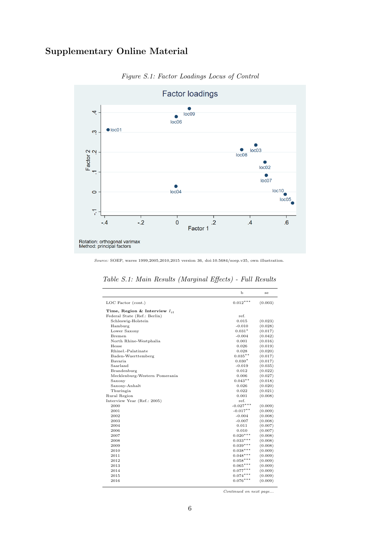## <span id="page-36-0"></span>Supplementary Online Material

![](_page_36_Figure_1.jpeg)

Figure S.1: Factor Loadings Locus of Control

Source: SOEP, waves 1999,2005,2010,2015 version 36, doi:10.5684/soep.v35, own illustration.

|                                   | $\mathbf b$ | se      |
|-----------------------------------|-------------|---------|
| LOC Factor (cont.)                | $0.012***$  | (0.003) |
| Time, Region & Interview $I_{it}$ |             |         |
| Federal State (Ref.: Berlin)      | ref.        |         |
| Schleswig-Holstein                | 0.015       | (0.023) |
| Hamburg                           | $-0.010$    | (0.028) |
| Lower Saxony                      | $0.031*$    | (0.017) |
| Bremen                            | $-0.004$    | (0.042) |
| North Rhine-Westphalia            | 0.001       | (0.016) |
| Hesse                             | 0.026       | (0.019) |
| Rhinel.-Palatinate                | 0.028       | (0.020) |
| Baden-Wuerttemberg                | $0.035**$   | (0.017) |
| Bavaria                           | $0.030*$    | (0.017) |
| Saarland                          | $-0.019$    | (0.035) |
| Brandenburg                       | 0.012       | (0.022) |
| Mecklenburg-Western Pomerania     | 0.006       | (0.027) |
| Saxony                            | $0.043**$   | (0.018) |
| Saxony-Anhalt                     | 0.026       | (0.020) |
| Thuringia                         | 0.022       | (0.021) |
| Rural Region                      | 0.001       | (0.008) |
| Interview Year (Ref.: 2005)       | ref.        |         |
| 2000                              | $-0.027***$ | (0.009) |
| 2001                              | $-0.017**$  | (0.009) |
| 2002                              | $-0.004$    | (0.008) |
| 2003                              | $-0.007$    | (0.008) |
| 2004                              | 0.011       | (0.007) |
| 2006                              | 0.010       | (0.007) |
| 2007                              | $0.020***$  | (0.008) |
| 2008                              | $0.033***$  | (0.008) |
| 2009                              | $0.039***$  | (0.008) |
| 2010                              | $0.038***$  | (0.009) |
| 2011                              | $0.048***$  | (0.009) |
| 2012                              | $0.058***$  | (0.009) |
| 2013                              | $0.065***$  | (0.009) |
| 2014                              | $0.077***$  | (0.009) |
| 2015                              | $0.074***$  | (0.009) |
| 2016                              | $0.076***$  | (0.009) |

Table S.1: Main Results (Marginal Effects) - Full Results

Continued on next page...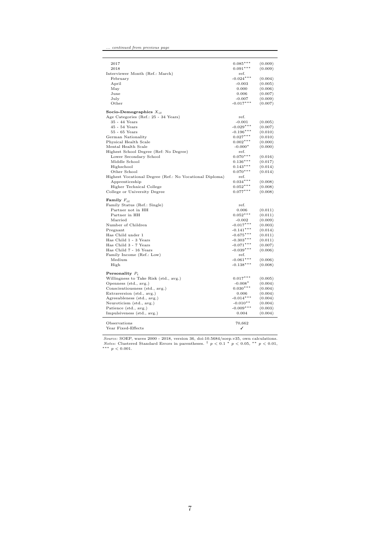| 2017                                                    | $0.085***$  | (0.009) |
|---------------------------------------------------------|-------------|---------|
| 2018                                                    | $0.091***$  | (0.009) |
| Interviewer Month (Ref.: March)                         | ref.        |         |
| February                                                | $-0.024***$ | (0.004) |
| April                                                   | $-0.003$    | (0.005) |
| May                                                     | 0.000       | (0.006) |
| June                                                    | 0.006       | (0.007) |
| July                                                    | $-0.007$    | (0.009) |
| Other                                                   | $-0.017***$ | (0.007) |
| Socio-Demographics $X_{it}$                             |             |         |
| Age Categories (Ref.: 25 - 34 Years)                    | ref.        |         |
| 35 - 44 Years                                           | $-0.001$    | (0.005) |
| $45 - 54$ Years                                         | $-0.029***$ | (0.007) |
| $55 - 65$ Years                                         | $-0.196***$ | (0.010) |
| German Nationality                                      | $0.027***$  | (0.010) |
| Physical Health Scale                                   | $0.002***$  | (0.000) |
| Mental Health Scale                                     | $-0.000*$   | (0.000) |
| Highest School Degree (Ref: No Degree)                  | ref.        |         |
| Lower Secondary School                                  | $0.070***$  | (0.016) |
| Middle School                                           | $0.136***$  | (0.017) |
| Highschool                                              | $0.143***$  | (0.014) |
| Other School                                            | $0.070***$  | (0.014) |
| Highest Vocational Degree (Ref.: No Vocational Diploma) | ref.        |         |
| Apprenticeship                                          | $0.034***$  | (0.008) |
| Higher Technical College                                | $0.052***$  | (0.008) |
| College or University Degree                            | $0.077***$  | (0.008) |
| Family $F_{it}$                                         |             |         |
| Family Status (Ref.: Single)                            | ref.        |         |
| Partner not in HH                                       | 0.006       | (0.011) |
| Partner in HH                                           | $0.052***$  | (0.011) |
| Married                                                 | $-0.002$    | (0.009) |
| Number of Children                                      | $-0.017***$ | (0.003) |
| Pregnant                                                | $-0.141***$ | (0.014) |
| Has Child under 1                                       | $-0.675***$ | (0.011) |
| Has Child 1 - 3 Years                                   | $-0.303***$ | (0.011) |
| Has Child 3 - 7 Years                                   | $-0.071***$ | (0.007) |
| Has Child 7 - 16 Years                                  | $-0.039***$ | (0.006) |
| Family Income (Ref.: Low)                               | ref.        |         |
| Medium                                                  | $-0.061***$ | (0.006) |
| High                                                    | $-0.138***$ | (0.008) |
| Personality $P_i$                                       |             |         |
| Willingness to Take Risk (std., avg.)                   | $0.017***$  | (0.005) |
| Openness (std., avg.)                                   | $-0.008*$   | (0.004) |
| Conscientiousness (std., avg.)                          | $0.030***$  | (0.004) |
| Extraversion (std., avg.)                               | 0.006       | (0.004) |
| Agreeableness (std., avg.)                              | $-0.014***$ | (0.004) |
| Neuroticism (std., avg.)                                | $-0.010**$  | (0.004) |
| Patience (std., avg.)                                   | $-0.009***$ | (0.003) |
| Impulsiveness (std., avg.)                              | 0.004       | (0.004) |
| Observations                                            | 70,662      |         |
| Year Fixed-Effects                                      | ✓           |         |
|                                                         |             |         |

... continued from previous page

Source: SOEP, waves 2000 - 2018, version 36, doi:10.5684/soep.v35, own calculations.<br>Notes: Clustered Standard Errors in parentheses.  $\frac{\dagger}{r}$  p < 0.1 \* p < 0.05, \*\* p < 0.01, \*\*\* p < 0.01.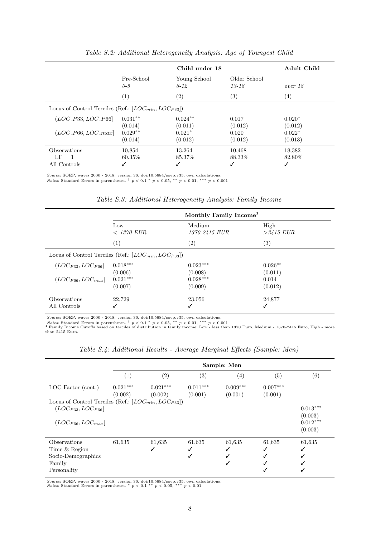<span id="page-38-0"></span>

|                                                             |                                 | Adult Child                    |                             |                                |
|-------------------------------------------------------------|---------------------------------|--------------------------------|-----------------------------|--------------------------------|
|                                                             | Pre-School<br>$0-5$             | Young School<br>$6 - 12$       | Older School<br>$13 - 18$   | over 18                        |
|                                                             | (1)                             | $\left( 2\right)$              | (3)                         | (4)                            |
| Locus of Control Terciles (Ref.: $[LOC_{min}, LOC_{P33}]$ ) |                                 |                                |                             |                                |
| $(LOC\_P33, LOC\_P66]$                                      | $0.031**$                       | $0.024**$                      | 0.017                       | $0.020*$                       |
| $(LOC\_P66, LOC\_max]$                                      | (0.014)<br>$0.029**$<br>(0.014) | (0.011)<br>$0.021*$<br>(0.012) | (0.012)<br>0.020<br>(0.012) | (0.012)<br>$0.022*$<br>(0.013) |
| <b>Observations</b>                                         | 10,854                          | 13,264                         | 10,468                      | 18,382                         |
| $LF = 1$<br>All Controls                                    | $60.35\%$                       | 85.37\%                        | 88.33\%                     | 82.80\%                        |

Table S.2: Additional Heterogeneity Analysis: Age of Youngest Child

Source: SOEP, waves 2000 - 2018, version 36, doi:10.5684/soep.v35, own calculations.<br>Notes: Standard Errors in parentheses. <sup>†</sup>  $p < 0.1$  \*  $p < 0.05$ , \*\*  $p < 0.01$ , \*\*\*  $p < 0.001$ 

<span id="page-38-1"></span>

|                              | Monthly Family Income <sup>1</sup>                          |                         |                      |  |
|------------------------------|-------------------------------------------------------------|-------------------------|----------------------|--|
|                              | Low<br>$< 1370$ EUR                                         | Medium<br>1370-2415 EUR | High<br>$>2415$ EUR  |  |
|                              | (1)                                                         | $\left( 2\right)$       | $\left( 3\right)$    |  |
|                              | Locus of Control Terciles (Ref.: $[LOC_{min}, LOC_{P33}]$ ) |                         |                      |  |
| $(LOC_{P33}, LOC_{P66}]$     | $0.018***$<br>(0.006)                                       | $0.023***$<br>(0.008)   | $0.026**$<br>(0.011) |  |
| $(LOC_{P66}, LOC_{max}]$     | $0.021***$<br>(0.007)                                       | $0.028***$<br>(0.009)   | 0.014<br>(0.012)     |  |
| Observations<br>All Controls | 22.729                                                      | 23,056                  | 24,877<br>√          |  |

<span id="page-38-2"></span>

Source: SOEP, waves 2000 - 2018, version 36, doi:10.5684/soep.v35, own calculations.<br> *Notes:* Standard Errors in parentheses. <sup>†</sup>  $p < 0.1$  \*  $p < 0.05$ , \*\*  $p < 0.01$ , \*\*\*  $p < 0.001$ <br>
<sup>1</sup> Family Income Cutoffs based on ter

|                                                                                                                     | Sample: Men           |                       |                       |                       |                       |                                                |
|---------------------------------------------------------------------------------------------------------------------|-----------------------|-----------------------|-----------------------|-----------------------|-----------------------|------------------------------------------------|
|                                                                                                                     | $\left( 1\right)$     | (2)                   | $\left( 3\right)$     | $\left( 4\right)$     | (5)                   | (6)                                            |
| $LOC$ Factor (cont.)                                                                                                | $0.021***$<br>(0.002) | $0.021***$<br>(0.002) | $0.011***$<br>(0.001) | $0.009***$<br>(0.001) | $0.007***$<br>(0.001) |                                                |
| Locus of Control Terciles (Ref.: $[LOC_{min}, LOC_{P33}]$ )<br>$(LOC_{P33}, LOC_{P66}]$<br>$(LOC_{P66}, LOC_{max}]$ |                       |                       |                       |                       |                       | $0.013***$<br>(0.003)<br>$0.012***$<br>(0.003) |
| Observations<br>Time & Region<br>Socio-Demographics<br>Family<br>Personality                                        | 61,635                | 61,635                | 61,635                | 61,635                | 61,635<br>√           | 61,635                                         |

Table S.4: Additional Results - Average Marginal Effects (Sample: Men)

Source: SOEP, waves 2000 - 2018, version 36, doi:10.5684/soep.v35, own calculations.<br>Notes: Standard Errors in parentheses. \*  $p < 0.1$  \*\*  $p < 0.05$ , \*\*\*  $p < 0.01$